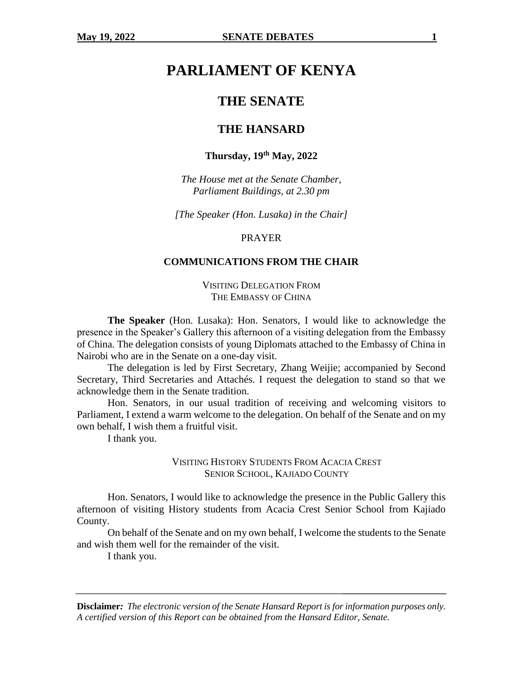# **PARLIAMENT OF KENYA**

# **THE SENATE**

# **THE HANSARD**

# **Thursday, 19th May, 2022**

*The House met at the Senate Chamber, Parliament Buildings, at 2.30 pm*

*[The Speaker (Hon. Lusaka) in the Chair]*

#### PRAYER

## **COMMUNICATIONS FROM THE CHAIR**

VISITING DELEGATION FROM THE EMBASSY OF CHINA

**The Speaker** (Hon. Lusaka): Hon. Senators, I would like to acknowledge the presence in the Speaker's Gallery this afternoon of a visiting delegation from the Embassy of China. The delegation consists of young Diplomats attached to the Embassy of China in Nairobi who are in the Senate on a one-day visit.

The delegation is led by First Secretary, Zhang Weijie; accompanied by Second Secretary, Third Secretaries and Attachés. I request the delegation to stand so that we acknowledge them in the Senate tradition.

Hon. Senators, in our usual tradition of receiving and welcoming visitors to Parliament, I extend a warm welcome to the delegation. On behalf of the Senate and on my own behalf, I wish them a fruitful visit.

I thank you.

## VISITING HISTORY STUDENTS FROM ACACIA CREST SENIOR SCHOOL, KAJIADO COUNTY

Hon. Senators, I would like to acknowledge the presence in the Public Gallery this afternoon of visiting History students from Acacia Crest Senior School from Kajiado County.

On behalf of the Senate and on my own behalf, I welcome the students to the Senate and wish them well for the remainder of the visit.

I thank you.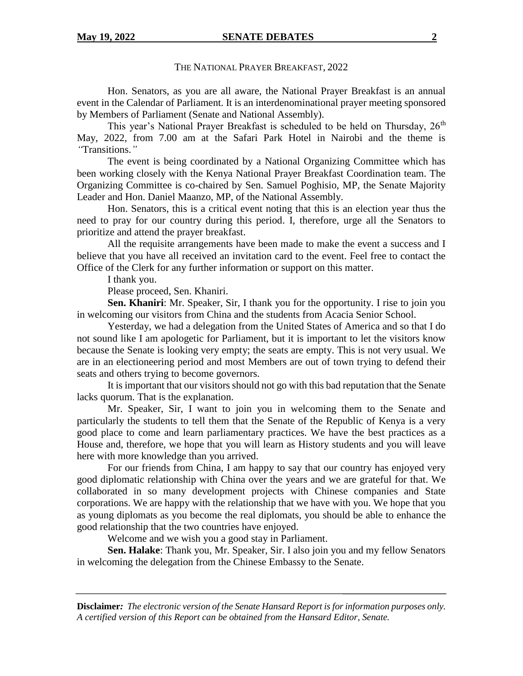## THE NATIONAL PRAYER BREAKFAST, 2022

Hon. Senators, as you are all aware, the National Prayer Breakfast is an annual event in the Calendar of Parliament. It is an interdenominational prayer meeting sponsored by Members of Parliament (Senate and National Assembly).

This year's National Prayer Breakfast is scheduled to be held on Thursday, 26<sup>th</sup> May, 2022, from 7.00 am at the Safari Park Hotel in Nairobi and the theme is *"*Transitions.*"* 

The event is being coordinated by a National Organizing Committee which has been working closely with the Kenya National Prayer Breakfast Coordination team. The Organizing Committee is co-chaired by Sen. Samuel Poghisio, MP, the Senate Majority Leader and Hon. Daniel Maanzo, MP, of the National Assembly.

Hon. Senators, this is a critical event noting that this is an election year thus the need to pray for our country during this period. I, therefore, urge all the Senators to prioritize and attend the prayer breakfast.

All the requisite arrangements have been made to make the event a success and I believe that you have all received an invitation card to the event. Feel free to contact the Office of the Clerk for any further information or support on this matter.

I thank you.

Please proceed, Sen. Khaniri.

**Sen. Khaniri**: Mr. Speaker, Sir, I thank you for the opportunity. I rise to join you in welcoming our visitors from China and the students from Acacia Senior School.

Yesterday, we had a delegation from the United States of America and so that I do not sound like I am apologetic for Parliament, but it is important to let the visitors know because the Senate is looking very empty; the seats are empty. This is not very usual. We are in an electioneering period and most Members are out of town trying to defend their seats and others trying to become governors.

It is important that our visitors should not go with this bad reputation that the Senate lacks quorum. That is the explanation.

Mr. Speaker, Sir, I want to join you in welcoming them to the Senate and particularly the students to tell them that the Senate of the Republic of Kenya is a very good place to come and learn parliamentary practices. We have the best practices as a House and, therefore, we hope that you will learn as History students and you will leave here with more knowledge than you arrived.

For our friends from China, I am happy to say that our country has enjoyed very good diplomatic relationship with China over the years and we are grateful for that. We collaborated in so many development projects with Chinese companies and State corporations. We are happy with the relationship that we have with you. We hope that you as young diplomats as you become the real diplomats, you should be able to enhance the good relationship that the two countries have enjoyed.

Welcome and we wish you a good stay in Parliament.

**Sen. Halake**: Thank you, Mr. Speaker, Sir. I also join you and my fellow Senators in welcoming the delegation from the Chinese Embassy to the Senate.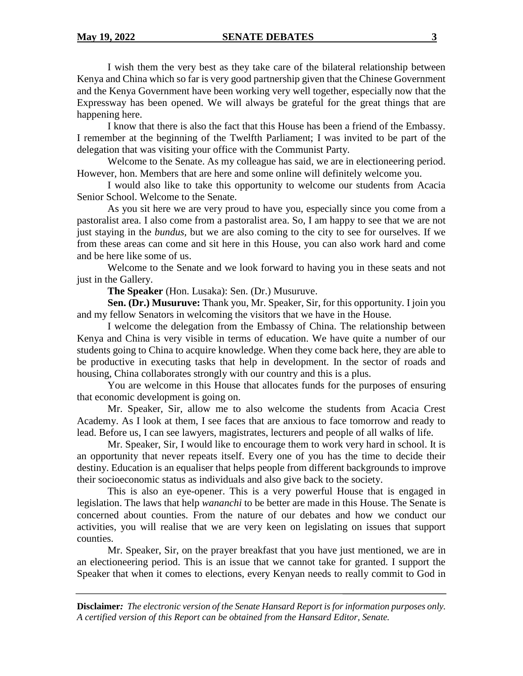I wish them the very best as they take care of the bilateral relationship between Kenya and China which so far is very good partnership given that the Chinese Government and the Kenya Government have been working very well together, especially now that the Expressway has been opened. We will always be grateful for the great things that are happening here.

I know that there is also the fact that this House has been a friend of the Embassy. I remember at the beginning of the Twelfth Parliament; I was invited to be part of the delegation that was visiting your office with the Communist Party.

Welcome to the Senate. As my colleague has said, we are in electioneering period. However, hon. Members that are here and some online will definitely welcome you.

I would also like to take this opportunity to welcome our students from Acacia Senior School. Welcome to the Senate.

As you sit here we are very proud to have you, especially since you come from a pastoralist area. I also come from a pastoralist area. So, I am happy to see that we are not just staying in the *bundus,* but we are also coming to the city to see for ourselves. If we from these areas can come and sit here in this House, you can also work hard and come and be here like some of us.

Welcome to the Senate and we look forward to having you in these seats and not just in the Gallery.

**The Speaker** (Hon. Lusaka): Sen. (Dr.) Musuruve.

**Sen. (Dr.) Musuruve:** Thank you, Mr. Speaker, Sir, for this opportunity. I join you and my fellow Senators in welcoming the visitors that we have in the House.

I welcome the delegation from the Embassy of China. The relationship between Kenya and China is very visible in terms of education. We have quite a number of our students going to China to acquire knowledge. When they come back here, they are able to be productive in executing tasks that help in development. In the sector of roads and housing, China collaborates strongly with our country and this is a plus.

You are welcome in this House that allocates funds for the purposes of ensuring that economic development is going on.

Mr. Speaker, Sir, allow me to also welcome the students from Acacia Crest Academy. As I look at them, I see faces that are anxious to face tomorrow and ready to lead. Before us, I can see lawyers, magistrates, lecturers and people of all walks of life.

Mr. Speaker, Sir, I would like to encourage them to work very hard in school. It is an opportunity that never repeats itself. Every one of you has the time to decide their destiny. Education is an equaliser that helps people from different backgrounds to improve their socioeconomic status as individuals and also give back to the society.

This is also an eye-opener. This is a very powerful House that is engaged in legislation. The laws that help *wananchi* to be better are made in this House. The Senate is concerned about counties. From the nature of our debates and how we conduct our activities, you will realise that we are very keen on legislating on issues that support counties.

Mr. Speaker, Sir, on the prayer breakfast that you have just mentioned, we are in an electioneering period. This is an issue that we cannot take for granted. I support the Speaker that when it comes to elections, every Kenyan needs to really commit to God in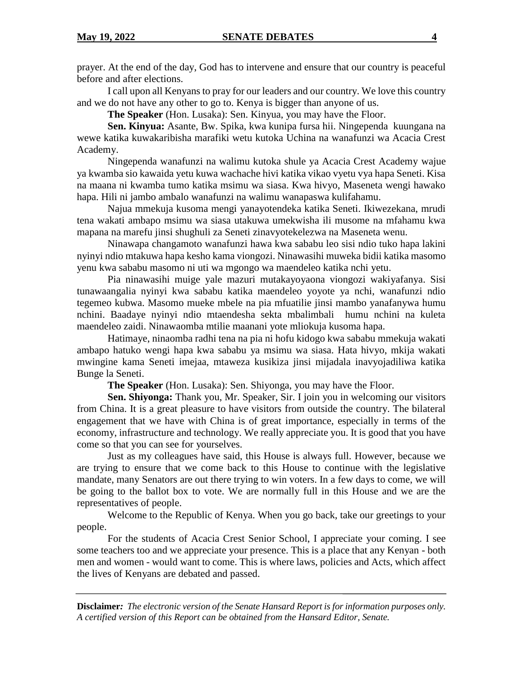prayer. At the end of the day, God has to intervene and ensure that our country is peaceful before and after elections.

I call upon all Kenyans to pray for our leaders and our country. We love this country and we do not have any other to go to. Kenya is bigger than anyone of us.

**The Speaker** (Hon. Lusaka): Sen. Kinyua, you may have the Floor.

**Sen. Kinyua:** Asante, Bw. Spika, kwa kunipa fursa hii. Ningependa kuungana na wewe katika kuwakaribisha marafiki wetu kutoka Uchina na wanafunzi wa Acacia Crest Academy.

Ningependa wanafunzi na walimu kutoka shule ya Acacia Crest Academy wajue ya kwamba sio kawaida yetu kuwa wachache hivi katika vikao vyetu vya hapa Seneti. Kisa na maana ni kwamba tumo katika msimu wa siasa. Kwa hivyo, Maseneta wengi hawako hapa. Hili ni jambo ambalo wanafunzi na walimu wanapaswa kulifahamu.

Najua mmekuja kusoma mengi yanayotendeka katika Seneti. Ikiwezekana, mrudi tena wakati ambapo msimu wa siasa utakuwa umekwisha ili musome na mfahamu kwa mapana na marefu jinsi shughuli za Seneti zinavyotekelezwa na Maseneta wenu.

Ninawapa changamoto wanafunzi hawa kwa sababu leo sisi ndio tuko hapa lakini nyinyi ndio mtakuwa hapa kesho kama viongozi. Ninawasihi muweka bidii katika masomo yenu kwa sababu masomo ni uti wa mgongo wa maendeleo katika nchi yetu.

Pia ninawasihi muige yale mazuri mutakayoyaona viongozi wakiyafanya. Sisi tunawaangalia nyinyi kwa sababu katika maendeleo yoyote ya nchi, wanafunzi ndio tegemeo kubwa. Masomo mueke mbele na pia mfuatilie jinsi mambo yanafanywa humu nchini. Baadaye nyinyi ndio mtaendesha sekta mbalimbali humu nchini na kuleta maendeleo zaidi. Ninawaomba mtilie maanani yote mliokuja kusoma hapa.

Hatimaye, ninaomba radhi tena na pia ni hofu kidogo kwa sababu mmekuja wakati ambapo hatuko wengi hapa kwa sababu ya msimu wa siasa. Hata hivyo, mkija wakati mwingine kama Seneti imejaa, mtaweza kusikiza jinsi mijadala inavyojadiliwa katika Bunge la Seneti.

**The Speaker** (Hon. Lusaka): Sen. Shiyonga, you may have the Floor.

**Sen. Shiyonga:** Thank you, Mr. Speaker, Sir. I join you in welcoming our visitors from China. It is a great pleasure to have visitors from outside the country. The bilateral engagement that we have with China is of great importance, especially in terms of the economy, infrastructure and technology. We really appreciate you. It is good that you have come so that you can see for yourselves.

Just as my colleagues have said, this House is always full. However, because we are trying to ensure that we come back to this House to continue with the legislative mandate, many Senators are out there trying to win voters. In a few days to come, we will be going to the ballot box to vote. We are normally full in this House and we are the representatives of people.

Welcome to the Republic of Kenya. When you go back, take our greetings to your people.

For the students of Acacia Crest Senior School, I appreciate your coming. I see some teachers too and we appreciate your presence. This is a place that any Kenyan - both men and women - would want to come. This is where laws, policies and Acts, which affect the lives of Kenyans are debated and passed.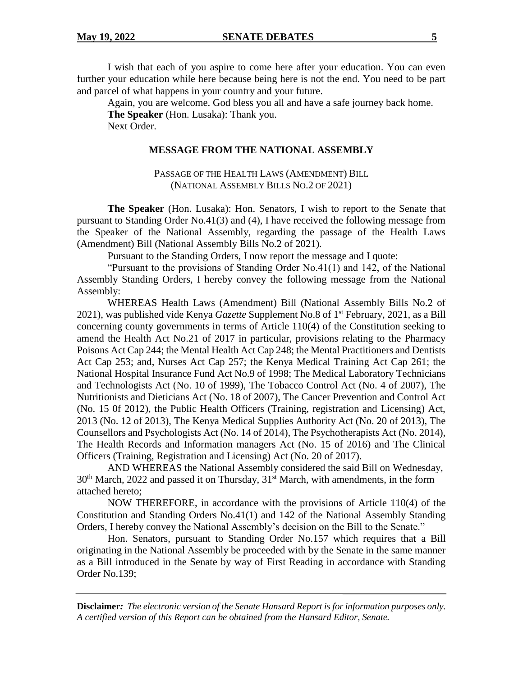I wish that each of you aspire to come here after your education. You can even further your education while here because being here is not the end. You need to be part and parcel of what happens in your country and your future.

Again, you are welcome. God bless you all and have a safe journey back home. **The Speaker** (Hon. Lusaka): Thank you. Next Order.

#### **MESSAGE FROM THE NATIONAL ASSEMBLY**

PASSAGE OF THE HEALTH LAWS (AMENDMENT) BILL (NATIONAL ASSEMBLY BILLS NO.2 OF 2021)

**The Speaker** (Hon. Lusaka): Hon. Senators, I wish to report to the Senate that pursuant to Standing Order No.41(3) and (4), I have received the following message from the Speaker of the National Assembly, regarding the passage of the Health Laws (Amendment) Bill (National Assembly Bills No.2 of 2021).

Pursuant to the Standing Orders, I now report the message and I quote:

"Pursuant to the provisions of Standing Order No.41(1) and 142, of the National Assembly Standing Orders, I hereby convey the following message from the National Assembly:

WHEREAS Health Laws (Amendment) Bill (National Assembly Bills No.2 of 2021), was published vide Kenya *Gazette* Supplement No.8 of 1st February, 2021, as a Bill concerning county governments in terms of Article 110(4) of the Constitution seeking to amend the Health Act No.21 of 2017 in particular, provisions relating to the Pharmacy Poisons Act Cap 244; the Mental Health Act Cap 248; the Mental Practitioners and Dentists Act Cap 253; and, Nurses Act Cap 257; the Kenya Medical Training Act Cap 261; the National Hospital Insurance Fund Act No.9 of 1998; The Medical Laboratory Technicians and Technologists Act (No. 10 of 1999), The Tobacco Control Act (No. 4 of 2007), The Nutritionists and Dieticians Act (No. 18 of 2007), The Cancer Prevention and Control Act (No. 15 0f 2012), the Public Health Officers (Training, registration and Licensing) Act, 2013 (No. 12 of 2013), The Kenya Medical Supplies Authority Act (No. 20 of 2013), The Counsellors and Psychologists Act (No. 14 of 2014), The Psychotherapists Act (No. 2014), The Health Records and Information managers Act (No. 15 of 2016) and The Clinical Officers (Training, Registration and Licensing) Act (No. 20 of 2017).

AND WHEREAS the National Assembly considered the said Bill on Wednesday,  $30<sup>th</sup>$  March, 2022 and passed it on Thursday,  $31<sup>st</sup>$  March, with amendments, in the form attached hereto;

NOW THEREFORE, in accordance with the provisions of Article 110(4) of the Constitution and Standing Orders No.41(1) and 142 of the National Assembly Standing Orders, I hereby convey the National Assembly's decision on the Bill to the Senate."

Hon. Senators, pursuant to Standing Order No.157 which requires that a Bill originating in the National Assembly be proceeded with by the Senate in the same manner as a Bill introduced in the Senate by way of First Reading in accordance with Standing Order No.139;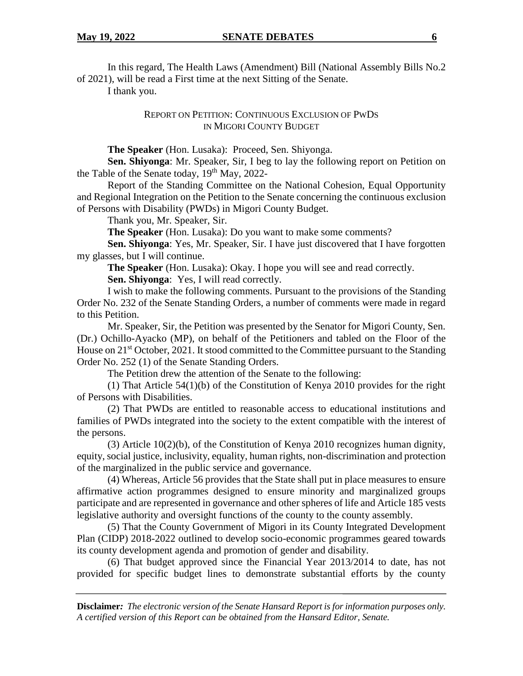In this regard, The Health Laws (Amendment) Bill (National Assembly Bills No.2 of 2021), will be read a First time at the next Sitting of the Senate.

I thank you.

REPORT ON PETITION: CONTINUOUS EXCLUSION OF PWDS IN MIGORI COUNTY BUDGET

**The Speaker** (Hon. Lusaka): Proceed, Sen. Shiyonga.

**Sen. Shiyonga**: Mr. Speaker, Sir, I beg to lay the following report on Petition on the Table of the Senate today, 19<sup>th</sup> May, 2022-

Report of the Standing Committee on the National Cohesion, Equal Opportunity and Regional Integration on the Petition to the Senate concerning the continuous exclusion of Persons with Disability (PWDs) in Migori County Budget.

Thank you, Mr. Speaker, Sir.

**The Speaker** (Hon. Lusaka): Do you want to make some comments?

**Sen. Shiyonga**: Yes, Mr. Speaker, Sir. I have just discovered that I have forgotten my glasses, but I will continue.

**The Speaker** (Hon. Lusaka): Okay. I hope you will see and read correctly.

**Sen. Shiyonga**: Yes, I will read correctly.

I wish to make the following comments. Pursuant to the provisions of the Standing Order No. 232 of the Senate Standing Orders, a number of comments were made in regard to this Petition.

Mr. Speaker, Sir, the Petition was presented by the Senator for Migori County, Sen. (Dr.) Ochillo-Ayacko (MP), on behalf of the Petitioners and tabled on the Floor of the House on  $21^{st}$  October, 2021. It stood committed to the Committee pursuant to the Standing Order No. 252 (1) of the Senate Standing Orders.

The Petition drew the attention of the Senate to the following:

(1) That Article 54(1)(b) of the Constitution of Kenya 2010 provides for the right of Persons with Disabilities.

(2) That PWDs are entitled to reasonable access to educational institutions and families of PWDs integrated into the society to the extent compatible with the interest of the persons.

(3) Article 10(2)(b), of the Constitution of Kenya 2010 recognizes human dignity, equity, social justice, inclusivity, equality, human rights, non-discrimination and protection of the marginalized in the public service and governance.

(4) Whereas, Article 56 provides that the State shall put in place measures to ensure affirmative action programmes designed to ensure minority and marginalized groups participate and are represented in governance and other spheres of life and Article 185 vests legislative authority and oversight functions of the county to the county assembly.

(5) That the County Government of Migori in its County Integrated Development Plan (CIDP) 2018-2022 outlined to develop socio-economic programmes geared towards its county development agenda and promotion of gender and disability.

(6) That budget approved since the Financial Year 2013/2014 to date, has not provided for specific budget lines to demonstrate substantial efforts by the county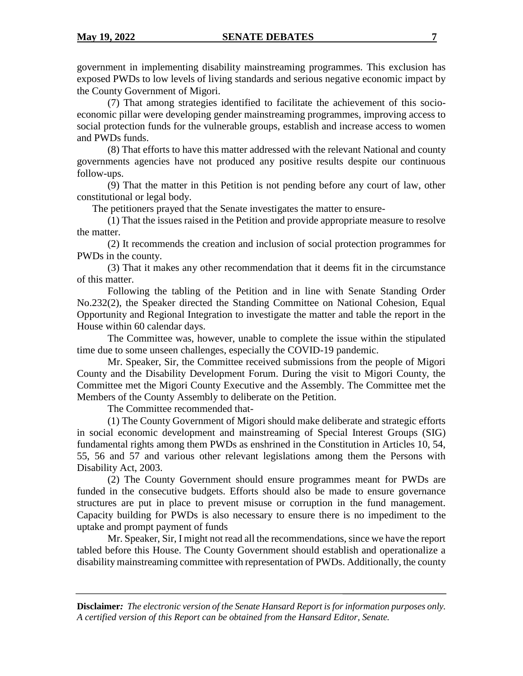government in implementing disability mainstreaming programmes. This exclusion has exposed PWDs to low levels of living standards and serious negative economic impact by the County Government of Migori.

(7) That among strategies identified to facilitate the achievement of this socioeconomic pillar were developing gender mainstreaming programmes, improving access to social protection funds for the vulnerable groups, establish and increase access to women and PWDs funds.

(8) That efforts to have this matter addressed with the relevant National and county governments agencies have not produced any positive results despite our continuous follow-ups.

(9) That the matter in this Petition is not pending before any court of law, other constitutional or legal body.

The petitioners prayed that the Senate investigates the matter to ensure-

(1) That the issues raised in the Petition and provide appropriate measure to resolve the matter.

(2) It recommends the creation and inclusion of social protection programmes for PWDs in the county.

(3) That it makes any other recommendation that it deems fit in the circumstance of this matter.

Following the tabling of the Petition and in line with Senate Standing Order No.232(2), the Speaker directed the Standing Committee on National Cohesion, Equal Opportunity and Regional Integration to investigate the matter and table the report in the House within 60 calendar days.

The Committee was, however, unable to complete the issue within the stipulated time due to some unseen challenges, especially the COVID-19 pandemic.

Mr. Speaker, Sir, the Committee received submissions from the people of Migori County and the Disability Development Forum. During the visit to Migori County, the Committee met the Migori County Executive and the Assembly. The Committee met the Members of the County Assembly to deliberate on the Petition.

The Committee recommended that-

(1) The County Government of Migori should make deliberate and strategic efforts in social economic development and mainstreaming of Special Interest Groups (SIG) fundamental rights among them PWDs as enshrined in the Constitution in Articles 10, 54, 55, 56 and 57 and various other relevant legislations among them the Persons with Disability Act, 2003.

(2) The County Government should ensure programmes meant for PWDs are funded in the consecutive budgets. Efforts should also be made to ensure governance structures are put in place to prevent misuse or corruption in the fund management. Capacity building for PWDs is also necessary to ensure there is no impediment to the uptake and prompt payment of funds

Mr. Speaker, Sir, I might not read all the recommendations, since we have the report tabled before this House. The County Government should establish and operationalize a disability mainstreaming committee with representation of PWDs. Additionally, the county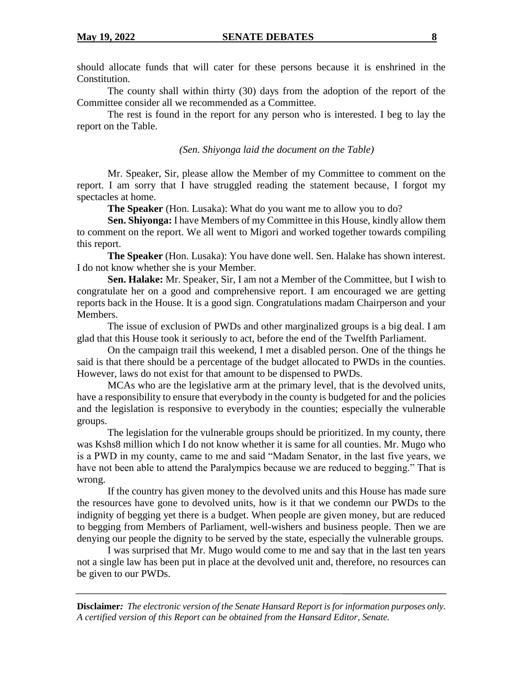should allocate funds that will cater for these persons because it is enshrined in the Constitution.

The county shall within thirty (30) days from the adoption of the report of the Committee consider all we recommended as a Committee.

The rest is found in the report for any person who is interested. I beg to lay the report on the Table.

#### *(Sen. Shiyonga laid the document on the Table)*

Mr. Speaker, Sir, please allow the Member of my Committee to comment on the report. I am sorry that I have struggled reading the statement because, I forgot my spectacles at home.

**The Speaker** (Hon. Lusaka): What do you want me to allow you to do?

**Sen. Shiyonga:** I have Members of my Committee in this House, kindly allow them to comment on the report. We all went to Migori and worked together towards compiling this report.

**The Speaker** (Hon. Lusaka): You have done well. Sen. Halake has shown interest. I do not know whether she is your Member.

**Sen. Halake:** Mr. Speaker, Sir, I am not a Member of the Committee, but I wish to congratulate her on a good and comprehensive report. I am encouraged we are getting reports back in the House. It is a good sign. Congratulations madam Chairperson and your Members.

The issue of exclusion of PWDs and other marginalized groups is a big deal. I am glad that this House took it seriously to act, before the end of the Twelfth Parliament.

On the campaign trail this weekend, I met a disabled person. One of the things he said is that there should be a percentage of the budget allocated to PWDs in the counties. However, laws do not exist for that amount to be dispensed to PWDs.

MCAs who are the legislative arm at the primary level, that is the devolved units, have a responsibility to ensure that everybody in the county is budgeted for and the policies and the legislation is responsive to everybody in the counties; especially the vulnerable groups.

The legislation for the vulnerable groups should be prioritized. In my county, there was Kshs8 million which I do not know whether it is same for all counties. Mr. Mugo who is a PWD in my county, came to me and said "Madam Senator, in the last five years, we have not been able to attend the Paralympics because we are reduced to begging." That is wrong.

If the country has given money to the devolved units and this House has made sure the resources have gone to devolved units, how is it that we condemn our PWDs to the indignity of begging yet there is a budget. When people are given money, but are reduced to begging from Members of Parliament, well-wishers and business people. Then we are denying our people the dignity to be served by the state, especially the vulnerable groups.

I was surprised that Mr. Mugo would come to me and say that in the last ten years not a single law has been put in place at the devolved unit and, therefore, no resources can be given to our PWDs.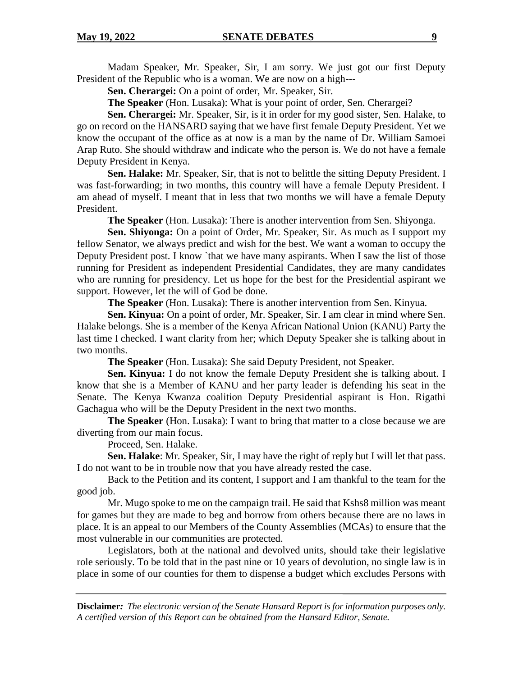Madam Speaker, Mr. Speaker, Sir, I am sorry. We just got our first Deputy President of the Republic who is a woman. We are now on a high---

**Sen. Cherargei:** On a point of order, Mr. Speaker, Sir.

**The Speaker** (Hon. Lusaka): What is your point of order, Sen. Cherargei?

**Sen. Cherargei:** Mr. Speaker, Sir, is it in order for my good sister, Sen. Halake, to go on record on the HANSARD saying that we have first female Deputy President. Yet we know the occupant of the office as at now is a man by the name of Dr. William Samoei Arap Ruto. She should withdraw and indicate who the person is. We do not have a female Deputy President in Kenya.

**Sen. Halake:** Mr. Speaker, Sir, that is not to belittle the sitting Deputy President. I was fast-forwarding; in two months, this country will have a female Deputy President. I am ahead of myself. I meant that in less that two months we will have a female Deputy President.

**The Speaker** (Hon. Lusaka): There is another intervention from Sen. Shiyonga.

**Sen. Shiyonga:** On a point of Order, Mr. Speaker, Sir. As much as I support my fellow Senator, we always predict and wish for the best. We want a woman to occupy the Deputy President post. I know `that we have many aspirants. When I saw the list of those running for President as independent Presidential Candidates, they are many candidates who are running for presidency. Let us hope for the best for the Presidential aspirant we support. However, let the will of God be done.

**The Speaker** (Hon. Lusaka): There is another intervention from Sen. Kinyua.

**Sen. Kinyua:** On a point of order, Mr. Speaker, Sir. I am clear in mind where Sen. Halake belongs. She is a member of the Kenya African National Union (KANU) Party the last time I checked. I want clarity from her; which Deputy Speaker she is talking about in two months.

**The Speaker** (Hon. Lusaka): She said Deputy President, not Speaker.

**Sen. Kinyua:** I do not know the female Deputy President she is talking about. I know that she is a Member of KANU and her party leader is defending his seat in the Senate. The Kenya Kwanza coalition Deputy Presidential aspirant is Hon. Rigathi Gachagua who will be the Deputy President in the next two months.

**The Speaker** (Hon. Lusaka): I want to bring that matter to a close because we are diverting from our main focus.

Proceed, Sen. Halake.

**Sen. Halake**: Mr. Speaker, Sir, I may have the right of reply but I will let that pass. I do not want to be in trouble now that you have already rested the case.

Back to the Petition and its content, I support and I am thankful to the team for the good job.

Mr. Mugo spoke to me on the campaign trail. He said that Kshs8 million was meant for games but they are made to beg and borrow from others because there are no laws in place. It is an appeal to our Members of the County Assemblies (MCAs) to ensure that the most vulnerable in our communities are protected.

Legislators, both at the national and devolved units, should take their legislative role seriously. To be told that in the past nine or 10 years of devolution, no single law is in place in some of our counties for them to dispense a budget which excludes Persons with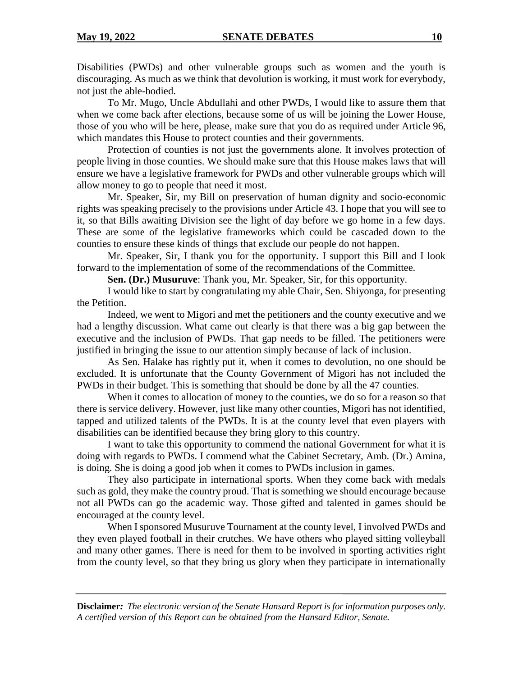Disabilities (PWDs) and other vulnerable groups such as women and the youth is discouraging. As much as we think that devolution is working, it must work for everybody, not just the able-bodied.

To Mr. Mugo, Uncle Abdullahi and other PWDs, I would like to assure them that when we come back after elections, because some of us will be joining the Lower House, those of you who will be here, please, make sure that you do as required under Article 96, which mandates this House to protect counties and their governments.

Protection of counties is not just the governments alone. It involves protection of people living in those counties. We should make sure that this House makes laws that will ensure we have a legislative framework for PWDs and other vulnerable groups which will allow money to go to people that need it most.

Mr. Speaker, Sir, my Bill on preservation of human dignity and socio-economic rights was speaking precisely to the provisions under Article 43. I hope that you will see to it, so that Bills awaiting Division see the light of day before we go home in a few days. These are some of the legislative frameworks which could be cascaded down to the counties to ensure these kinds of things that exclude our people do not happen.

Mr. Speaker, Sir, I thank you for the opportunity. I support this Bill and I look forward to the implementation of some of the recommendations of the Committee.

**Sen. (Dr.) Musuruve**: Thank you, Mr. Speaker, Sir, for this opportunity.

I would like to start by congratulating my able Chair, Sen. Shiyonga, for presenting the Petition.

Indeed, we went to Migori and met the petitioners and the county executive and we had a lengthy discussion. What came out clearly is that there was a big gap between the executive and the inclusion of PWDs. That gap needs to be filled. The petitioners were justified in bringing the issue to our attention simply because of lack of inclusion.

As Sen. Halake has rightly put it, when it comes to devolution, no one should be excluded. It is unfortunate that the County Government of Migori has not included the PWDs in their budget. This is something that should be done by all the 47 counties.

When it comes to allocation of money to the counties, we do so for a reason so that there is service delivery. However, just like many other counties, Migori has not identified, tapped and utilized talents of the PWDs. It is at the county level that even players with disabilities can be identified because they bring glory to this country.

I want to take this opportunity to commend the national Government for what it is doing with regards to PWDs. I commend what the Cabinet Secretary, Amb. (Dr.) Amina, is doing. She is doing a good job when it comes to PWDs inclusion in games.

They also participate in international sports. When they come back with medals such as gold, they make the country proud. That is something we should encourage because not all PWDs can go the academic way. Those gifted and talented in games should be encouraged at the county level.

When I sponsored Musuruve Tournament at the county level, I involved PWDs and they even played football in their crutches. We have others who played sitting volleyball and many other games. There is need for them to be involved in sporting activities right from the county level, so that they bring us glory when they participate in internationally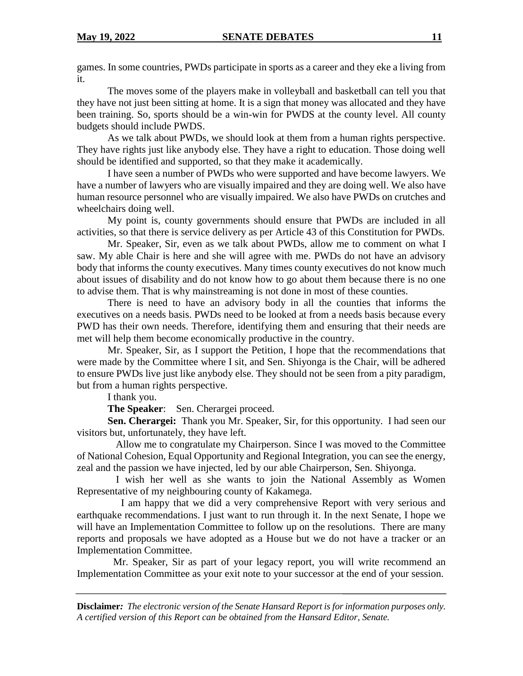games. In some countries, PWDs participate in sports as a career and they eke a living from it.

The moves some of the players make in volleyball and basketball can tell you that they have not just been sitting at home. It is a sign that money was allocated and they have been training. So, sports should be a win-win for PWDS at the county level. All county budgets should include PWDS.

As we talk about PWDs, we should look at them from a human rights perspective. They have rights just like anybody else. They have a right to education. Those doing well should be identified and supported, so that they make it academically.

I have seen a number of PWDs who were supported and have become lawyers. We have a number of lawyers who are visually impaired and they are doing well. We also have human resource personnel who are visually impaired. We also have PWDs on crutches and wheelchairs doing well.

My point is, county governments should ensure that PWDs are included in all activities, so that there is service delivery as per Article 43 of this Constitution for PWDs.

Mr. Speaker, Sir, even as we talk about PWDs, allow me to comment on what I saw. My able Chair is here and she will agree with me. PWDs do not have an advisory body that informs the county executives. Many times county executives do not know much about issues of disability and do not know how to go about them because there is no one to advise them. That is why mainstreaming is not done in most of these counties.

There is need to have an advisory body in all the counties that informs the executives on a needs basis. PWDs need to be looked at from a needs basis because every PWD has their own needs. Therefore, identifying them and ensuring that their needs are met will help them become economically productive in the country.

Mr. Speaker, Sir, as I support the Petition, I hope that the recommendations that were made by the Committee where I sit, and Sen. Shiyonga is the Chair, will be adhered to ensure PWDs live just like anybody else. They should not be seen from a pity paradigm, but from a human rights perspective.

I thank you.

**The Speaker**: Sen. Cherargei proceed.

**Sen. Cherargei:** Thank you Mr. Speaker, Sir, for this opportunity. I had seen our visitors but, unfortunately, they have left.

Allow me to congratulate my Chairperson. Since I was moved to the Committee of National Cohesion, Equal Opportunity and Regional Integration, you can see the energy, zeal and the passion we have injected, led by our able Chairperson, Sen. Shiyonga.

I wish her well as she wants to join the National Assembly as Women Representative of my neighbouring county of Kakamega.

 I am happy that we did a very comprehensive Report with very serious and earthquake recommendations. I just want to run through it. In the next Senate, I hope we will have an Implementation Committee to follow up on the resolutions. There are many reports and proposals we have adopted as a House but we do not have a tracker or an Implementation Committee.

Mr. Speaker, Sir as part of your legacy report, you will write recommend an Implementation Committee as your exit note to your successor at the end of your session.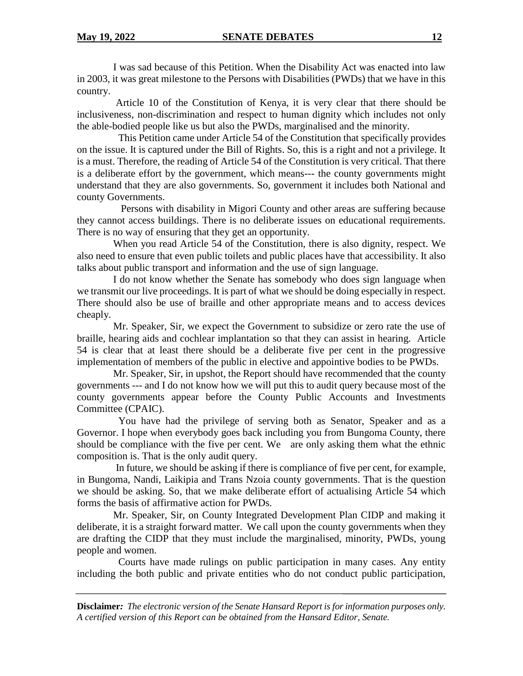I was sad because of this Petition. When the Disability Act was enacted into law in 2003, it was great milestone to the Persons with Disabilities (PWDs) that we have in this country.

Article 10 of the Constitution of Kenya, it is very clear that there should be inclusiveness, non-discrimination and respect to human dignity which includes not only the able-bodied people like us but also the PWDs, marginalised and the minority.

 This Petition came under Article 54 of the Constitution that specifically provides on the issue. It is captured under the Bill of Rights. So, this is a right and not a privilege. It is a must. Therefore, the reading of Article 54 of the Constitution is very critical. That there is a deliberate effort by the government, which means--- the county governments might understand that they are also governments. So, government it includes both National and county Governments.

 Persons with disability in Migori County and other areas are suffering because they cannot access buildings. There is no deliberate issues on educational requirements. There is no way of ensuring that they get an opportunity.

When you read Article 54 of the Constitution, there is also dignity, respect. We also need to ensure that even public toilets and public places have that accessibility. It also talks about public transport and information and the use of sign language.

I do not know whether the Senate has somebody who does sign language when we transmit our live proceedings. It is part of what we should be doing especially in respect. There should also be use of braille and other appropriate means and to access devices cheaply.

Mr. Speaker, Sir, we expect the Government to subsidize or zero rate the use of braille, hearing aids and cochlear implantation so that they can assist in hearing. Article 54 is clear that at least there should be a deliberate five per cent in the progressive implementation of members of the public in elective and appointive bodies to be PWDs.

Mr. Speaker, Sir, in upshot, the Report should have recommended that the county governments --- and I do not know how we will put this to audit query because most of the county governments appear before the County Public Accounts and Investments Committee (CPAIC).

 You have had the privilege of serving both as Senator, Speaker and as a Governor. I hope when everybody goes back including you from Bungoma County, there should be compliance with the five per cent. We are only asking them what the ethnic composition is. That is the only audit query.

In future, we should be asking if there is compliance of five per cent, for example, in Bungoma, Nandi, Laikipia and Trans Nzoia county governments. That is the question we should be asking. So, that we make deliberate effort of actualising Article 54 which forms the basis of affirmative action for PWDs.

Mr. Speaker, Sir, on County Integrated Development Plan CIDP and making it deliberate, it is a straight forward matter. We call upon the county governments when they are drafting the CIDP that they must include the marginalised, minority, PWDs, young people and women.

 Courts have made rulings on public participation in many cases. Any entity including the both public and private entities who do not conduct public participation,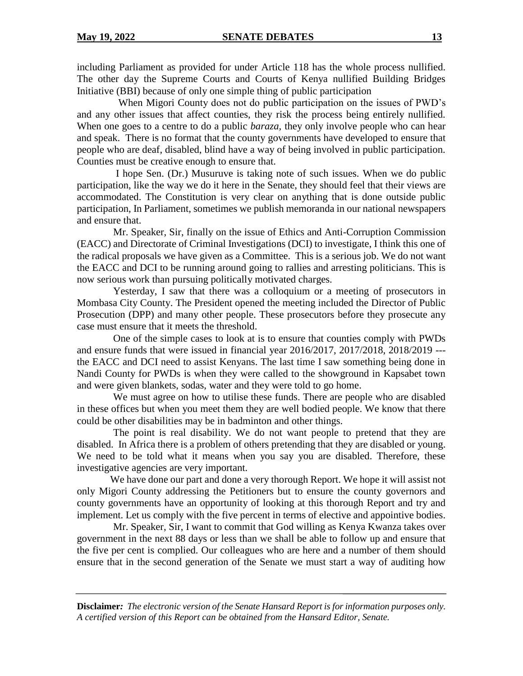including Parliament as provided for under Article 118 has the whole process nullified. The other day the Supreme Courts and Courts of Kenya nullified Building Bridges Initiative (BBI) because of only one simple thing of public participation

 When Migori County does not do public participation on the issues of PWD's and any other issues that affect counties, they risk the process being entirely nullified. When one goes to a centre to do a public *baraza,* they only involve people who can hear and speak. There is no format that the county governments have developed to ensure that people who are deaf, disabled, blind have a way of being involved in public participation. Counties must be creative enough to ensure that.

I hope Sen. (Dr.) Musuruve is taking note of such issues. When we do public participation, like the way we do it here in the Senate, they should feel that their views are accommodated. The Constitution is very clear on anything that is done outside public participation, In Parliament, sometimes we publish memoranda in our national newspapers and ensure that.

Mr. Speaker, Sir, finally on the issue of Ethics and Anti-Corruption Commission (EACC) and Directorate of Criminal Investigations (DCI) to investigate, I think this one of the radical proposals we have given as a Committee. This is a serious job. We do not want the EACC and DCI to be running around going to rallies and arresting politicians. This is now serious work than pursuing politically motivated charges.

Yesterday, I saw that there was a colloquium or a meeting of prosecutors in Mombasa City County. The President opened the meeting included the Director of Public Prosecution (DPP) and many other people. These prosecutors before they prosecute any case must ensure that it meets the threshold.

One of the simple cases to look at is to ensure that counties comply with PWDs and ensure funds that were issued in financial year 2016/2017, 2017/2018, 2018/2019 -- the EACC and DCI need to assist Kenyans. The last time I saw something being done in Nandi County for PWDs is when they were called to the showground in Kapsabet town and were given blankets, sodas, water and they were told to go home.

We must agree on how to utilise these funds. There are people who are disabled in these offices but when you meet them they are well bodied people. We know that there could be other disabilities may be in badminton and other things.

The point is real disability. We do not want people to pretend that they are disabled. In Africa there is a problem of others pretending that they are disabled or young. We need to be told what it means when you say you are disabled. Therefore, these investigative agencies are very important.

We have done our part and done a very thorough Report. We hope it will assist not only Migori County addressing the Petitioners but to ensure the county governors and county governments have an opportunity of looking at this thorough Report and try and implement. Let us comply with the five percent in terms of elective and appointive bodies.

Mr. Speaker, Sir, I want to commit that God willing as Kenya Kwanza takes over government in the next 88 days or less than we shall be able to follow up and ensure that the five per cent is complied. Our colleagues who are here and a number of them should ensure that in the second generation of the Senate we must start a way of auditing how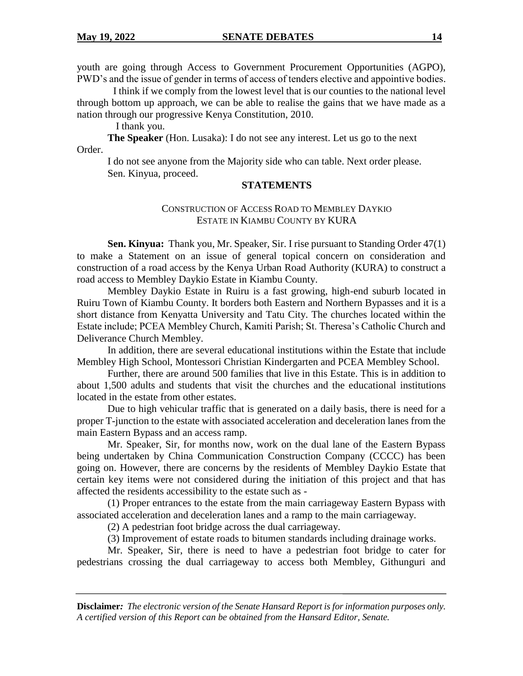youth are going through Access to Government Procurement Opportunities (AGPO), PWD's and the issue of gender in terms of access of tenders elective and appointive bodies.

I think if we comply from the lowest level that is our counties to the national level through bottom up approach, we can be able to realise the gains that we have made as a nation through our progressive Kenya Constitution, 2010.

I thank you.

**The Speaker** (Hon. Lusaka): I do not see any interest. Let us go to the next Order.

I do not see anyone from the Majority side who can table. Next order please. Sen. Kinyua, proceed.

## **STATEMENTS**

# CONSTRUCTION OF ACCESS ROAD TO MEMBLEY DAYKIO ESTATE IN KIAMBU COUNTY BY KURA

**Sen. Kinyua:** Thank you, Mr. Speaker, Sir. I rise pursuant to Standing Order 47(1) to make a Statement on an issue of general topical concern on consideration and construction of a road access by the Kenya Urban Road Authority (KURA) to construct a road access to Membley Daykio Estate in Kiambu County.

Membley Daykio Estate in Ruiru is a fast growing, high-end suburb located in Ruiru Town of Kiambu County. It borders both Eastern and Northern Bypasses and it is a short distance from Kenyatta University and Tatu City. The churches located within the Estate include; PCEA Membley Church, Kamiti Parish; St. Theresa's Catholic Church and Deliverance Church Membley.

In addition, there are several educational institutions within the Estate that include Membley High School, Montessori Christian Kindergarten and PCEA Membley School.

Further, there are around 500 families that live in this Estate. This is in addition to about 1,500 adults and students that visit the churches and the educational institutions located in the estate from other estates.

Due to high vehicular traffic that is generated on a daily basis, there is need for a proper T-junction to the estate with associated acceleration and deceleration lanes from the main Eastern Bypass and an access ramp.

Mr. Speaker, Sir, for months now, work on the dual lane of the Eastern Bypass being undertaken by China Communication Construction Company (CCCC) has been going on. However, there are concerns by the residents of Membley Daykio Estate that certain key items were not considered during the initiation of this project and that has affected the residents accessibility to the estate such as -

(1) Proper entrances to the estate from the main carriageway Eastern Bypass with associated acceleration and deceleration lanes and a ramp to the main carriageway.

(2) A pedestrian foot bridge across the dual carriageway.

(3) Improvement of estate roads to bitumen standards including drainage works.

Mr. Speaker, Sir, there is need to have a pedestrian foot bridge to cater for pedestrians crossing the dual carriageway to access both Membley, Githunguri and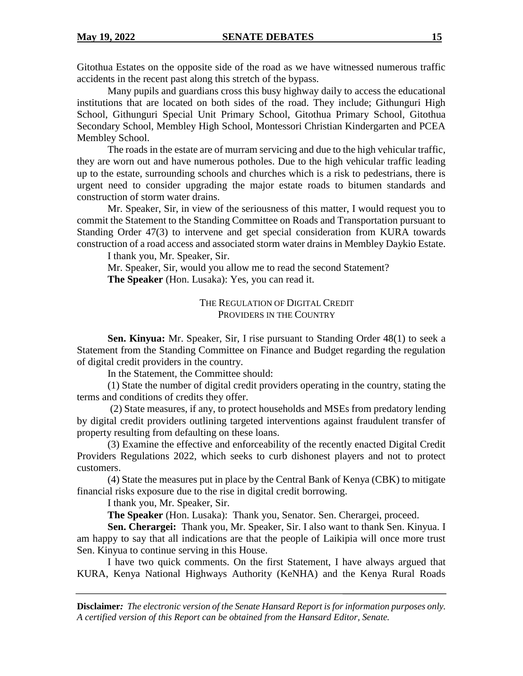Gitothua Estates on the opposite side of the road as we have witnessed numerous traffic accidents in the recent past along this stretch of the bypass.

Many pupils and guardians cross this busy highway daily to access the educational institutions that are located on both sides of the road. They include; Githunguri High School, Githunguri Special Unit Primary School, Gitothua Primary School, Gitothua Secondary School, Membley High School, Montessori Christian Kindergarten and PCEA Membley School.

The roads in the estate are of murram servicing and due to the high vehicular traffic, they are worn out and have numerous potholes. Due to the high vehicular traffic leading up to the estate, surrounding schools and churches which is a risk to pedestrians, there is urgent need to consider upgrading the major estate roads to bitumen standards and construction of storm water drains.

Mr. Speaker, Sir, in view of the seriousness of this matter, I would request you to commit the Statement to the Standing Committee on Roads and Transportation pursuant to Standing Order 47(3) to intervene and get special consideration from KURA towards construction of a road access and associated storm water drains in Membley Daykio Estate.

I thank you, Mr. Speaker, Sir.

Mr. Speaker, Sir, would you allow me to read the second Statement? **The Speaker** (Hon. Lusaka): Yes, you can read it.

> THE REGULATION OF DIGITAL CREDIT PROVIDERS IN THE COUNTRY

**Sen. Kinyua:** Mr. Speaker, Sir, I rise pursuant to Standing Order 48(1) to seek a Statement from the Standing Committee on Finance and Budget regarding the regulation of digital credit providers in the country.

In the Statement, the Committee should:

(1) State the number of digital credit providers operating in the country, stating the terms and conditions of credits they offer.

(2) State measures, if any, to protect households and MSEs from predatory lending by digital credit providers outlining targeted interventions against fraudulent transfer of property resulting from defaulting on these loans.

(3) Examine the effective and enforceability of the recently enacted Digital Credit Providers Regulations 2022, which seeks to curb dishonest players and not to protect customers.

(4) State the measures put in place by the Central Bank of Kenya (CBK) to mitigate financial risks exposure due to the rise in digital credit borrowing.

I thank you, Mr. Speaker, Sir.

**The Speaker** (Hon. Lusaka): Thank you, Senator. Sen. Cherargei, proceed.

**Sen. Cherargei:** Thank you, Mr. Speaker, Sir. I also want to thank Sen. Kinyua. I am happy to say that all indications are that the people of Laikipia will once more trust Sen. Kinyua to continue serving in this House.

I have two quick comments. On the first Statement, I have always argued that KURA, Kenya National Highways Authority (KeNHA) and the Kenya Rural Roads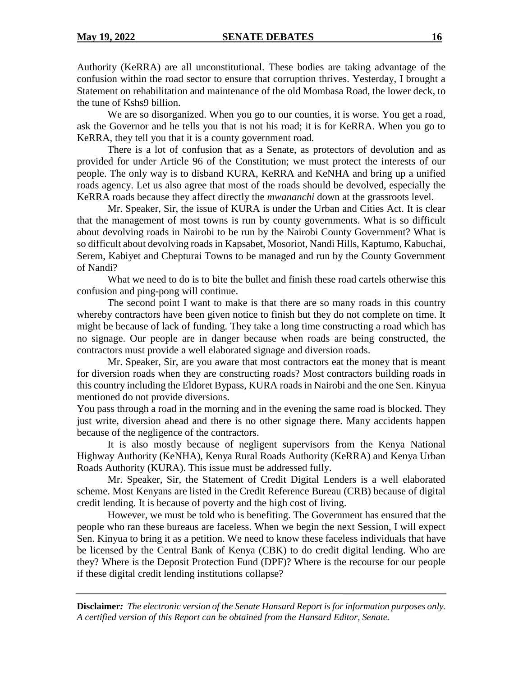Authority (KeRRA) are all unconstitutional. These bodies are taking advantage of the confusion within the road sector to ensure that corruption thrives. Yesterday, I brought a Statement on rehabilitation and maintenance of the old Mombasa Road, the lower deck, to the tune of Kshs9 billion.

We are so disorganized. When you go to our counties, it is worse. You get a road, ask the Governor and he tells you that is not his road; it is for KeRRA. When you go to KeRRA, they tell you that it is a county government road.

There is a lot of confusion that as a Senate, as protectors of devolution and as provided for under Article 96 of the Constitution; we must protect the interests of our people. The only way is to disband KURA, KeRRA and KeNHA and bring up a unified roads agency. Let us also agree that most of the roads should be devolved, especially the KeRRA roads because they affect directly the *mwananchi* down at the grassroots level.

Mr. Speaker, Sir, the issue of KURA is under the Urban and Cities Act. It is clear that the management of most towns is run by county governments. What is so difficult about devolving roads in Nairobi to be run by the Nairobi County Government? What is so difficult about devolving roads in Kapsabet, Mosoriot, Nandi Hills, Kaptumo, Kabuchai, Serem, Kabiyet and Chepturai Towns to be managed and run by the County Government of Nandi?

What we need to do is to bite the bullet and finish these road cartels otherwise this confusion and ping-pong will continue.

The second point I want to make is that there are so many roads in this country whereby contractors have been given notice to finish but they do not complete on time. It might be because of lack of funding. They take a long time constructing a road which has no signage. Our people are in danger because when roads are being constructed, the contractors must provide a well elaborated signage and diversion roads.

Mr. Speaker, Sir, are you aware that most contractors eat the money that is meant for diversion roads when they are constructing roads? Most contractors building roads in this country including the Eldoret Bypass, KURA roads in Nairobi and the one Sen. Kinyua mentioned do not provide diversions.

You pass through a road in the morning and in the evening the same road is blocked. They just write, diversion ahead and there is no other signage there. Many accidents happen because of the negligence of the contractors.

It is also mostly because of negligent supervisors from the Kenya National Highway Authority (KeNHA), Kenya Rural Roads Authority (KeRRA) and Kenya Urban Roads Authority (KURA). This issue must be addressed fully.

Mr. Speaker, Sir, the Statement of Credit Digital Lenders is a well elaborated scheme. Most Kenyans are listed in the Credit Reference Bureau (CRB) because of digital credit lending. It is because of poverty and the high cost of living.

However, we must be told who is benefiting. The Government has ensured that the people who ran these bureaus are faceless. When we begin the next Session, I will expect Sen. Kinyua to bring it as a petition. We need to know these faceless individuals that have be licensed by the Central Bank of Kenya (CBK) to do credit digital lending. Who are they? Where is the Deposit Protection Fund (DPF)? Where is the recourse for our people if these digital credit lending institutions collapse?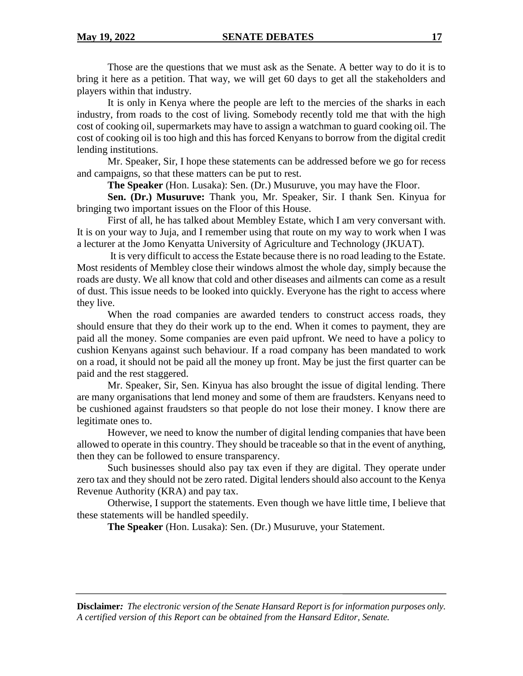Those are the questions that we must ask as the Senate. A better way to do it is to bring it here as a petition. That way, we will get 60 days to get all the stakeholders and players within that industry.

It is only in Kenya where the people are left to the mercies of the sharks in each industry, from roads to the cost of living. Somebody recently told me that with the high cost of cooking oil, supermarkets may have to assign a watchman to guard cooking oil. The cost of cooking oil is too high and this has forced Kenyans to borrow from the digital credit lending institutions.

Mr. Speaker, Sir, I hope these statements can be addressed before we go for recess and campaigns, so that these matters can be put to rest.

**The Speaker** (Hon. Lusaka): Sen. (Dr.) Musuruve, you may have the Floor.

**Sen. (Dr.) Musuruve:** Thank you, Mr. Speaker, Sir. I thank Sen. Kinyua for bringing two important issues on the Floor of this House.

First of all, he has talked about Membley Estate, which I am very conversant with. It is on your way to Juja, and I remember using that route on my way to work when I was a lecturer at the Jomo Kenyatta University of Agriculture and Technology (JKUAT).

It is very difficult to access the Estate because there is no road leading to the Estate. Most residents of Membley close their windows almost the whole day, simply because the roads are dusty. We all know that cold and other diseases and ailments can come as a result of dust. This issue needs to be looked into quickly. Everyone has the right to access where they live.

When the road companies are awarded tenders to construct access roads, they should ensure that they do their work up to the end. When it comes to payment, they are paid all the money. Some companies are even paid upfront. We need to have a policy to cushion Kenyans against such behaviour. If a road company has been mandated to work on a road, it should not be paid all the money up front. May be just the first quarter can be paid and the rest staggered.

Mr. Speaker, Sir, Sen. Kinyua has also brought the issue of digital lending. There are many organisations that lend money and some of them are fraudsters. Kenyans need to be cushioned against fraudsters so that people do not lose their money. I know there are legitimate ones to.

However, we need to know the number of digital lending companies that have been allowed to operate in this country. They should be traceable so that in the event of anything, then they can be followed to ensure transparency.

Such businesses should also pay tax even if they are digital. They operate under zero tax and they should not be zero rated. Digital lenders should also account to the Kenya Revenue Authority (KRA) and pay tax.

Otherwise, I support the statements. Even though we have little time, I believe that these statements will be handled speedily.

**The Speaker** (Hon. Lusaka): Sen. (Dr.) Musuruve, your Statement.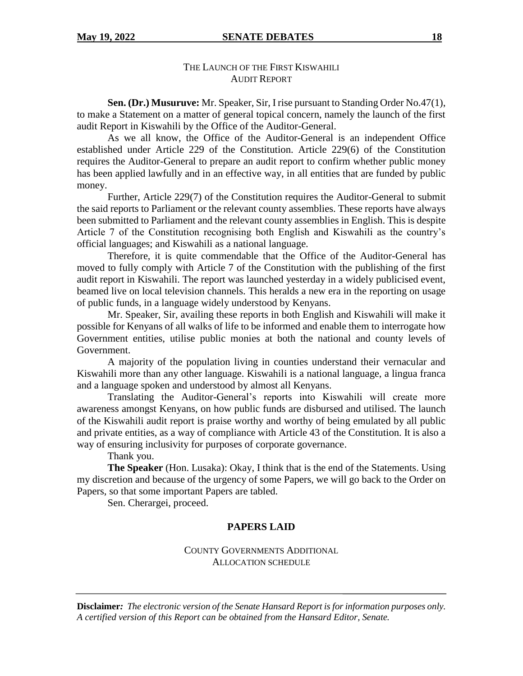# THE LAUNCH OF THE FIRST KISWAHILI AUDIT REPORT

**Sen. (Dr.) Musuruve:** Mr. Speaker, Sir, I rise pursuant to Standing Order No.47(1), to make a Statement on a matter of general topical concern, namely the launch of the first audit Report in Kiswahili by the Office of the Auditor-General.

As we all know, the Office of the Auditor-General is an independent Office established under Article 229 of the Constitution. Article 229(6) of the Constitution requires the Auditor-General to prepare an audit report to confirm whether public money has been applied lawfully and in an effective way, in all entities that are funded by public money.

Further, Article 229(7) of the Constitution requires the Auditor-General to submit the said reports to Parliament or the relevant county assemblies. These reports have always been submitted to Parliament and the relevant county assemblies in English. This is despite Article 7 of the Constitution recognising both English and Kiswahili as the country's official languages; and Kiswahili as a national language.

Therefore, it is quite commendable that the Office of the Auditor-General has moved to fully comply with Article 7 of the Constitution with the publishing of the first audit report in Kiswahili. The report was launched yesterday in a widely publicised event, beamed live on local television channels. This heralds a new era in the reporting on usage of public funds, in a language widely understood by Kenyans.

Mr. Speaker, Sir, availing these reports in both English and Kiswahili will make it possible for Kenyans of all walks of life to be informed and enable them to interrogate how Government entities, utilise public monies at both the national and county levels of Government.

A majority of the population living in counties understand their vernacular and Kiswahili more than any other language. Kiswahili is a national language, a lingua franca and a language spoken and understood by almost all Kenyans.

Translating the Auditor-General's reports into Kiswahili will create more awareness amongst Kenyans, on how public funds are disbursed and utilised. The launch of the Kiswahili audit report is praise worthy and worthy of being emulated by all public and private entities, as a way of compliance with Article 43 of the Constitution. It is also a way of ensuring inclusivity for purposes of corporate governance.

Thank you.

**The Speaker** (Hon. Lusaka): Okay, I think that is the end of the Statements. Using my discretion and because of the urgency of some Papers, we will go back to the Order on Papers, so that some important Papers are tabled.

Sen. Cherargei, proceed.

# **PAPERS LAID**

## COUNTY GOVERNMENTS ADDITIONAL ALLOCATION SCHEDULE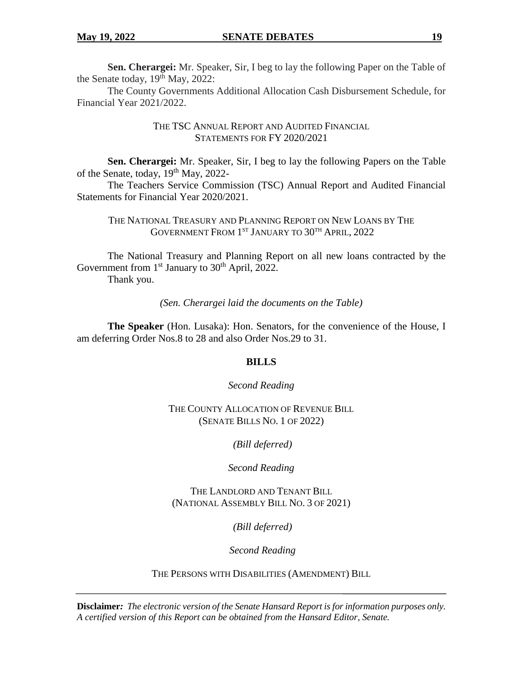**Sen. Cherargei:** Mr. Speaker, Sir, I beg to lay the following Paper on the Table of the Senate today,  $19<sup>th</sup>$  May, 2022:

The County Governments Additional Allocation Cash Disbursement Schedule, for Financial Year 2021/2022.

> THE TSC ANNUAL REPORT AND AUDITED FINANCIAL STATEMENTS FOR FY 2020/2021

**Sen. Cherargei:** Mr. Speaker, Sir, I beg to lay the following Papers on the Table of the Senate, today, 19<sup>th</sup> May, 2022-

The Teachers Service Commission (TSC) Annual Report and Audited Financial Statements for Financial Year 2020/2021.

THE NATIONAL TREASURY AND PLANNING REPORT ON NEW LOANS BY THE GOVERNMENT FROM 1<sup>st</sup> January to 30<sup>th</sup> April, 2022

The National Treasury and Planning Report on all new loans contracted by the Government from  $1<sup>st</sup>$  January to  $30<sup>th</sup>$  April, 2022.

Thank you.

*(Sen. Cherargei laid the documents on the Table)*

**The Speaker** (Hon. Lusaka): Hon. Senators, for the convenience of the House, I am deferring Order Nos.8 to 28 and also Order Nos.29 to 31.

## **BILLS**

*Second Reading*

THE COUNTY ALLOCATION OF REVENUE BILL (SENATE BILLS NO. 1 OF 2022)

*(Bill deferred)*

*Second Reading*

THE LANDLORD AND TENANT BILL (NATIONAL ASSEMBLY BILL NO. 3 OF 2021)

*(Bill deferred)*

*Second Reading*

THE PERSONS WITH DISABILITIES (AMENDMENT) BILL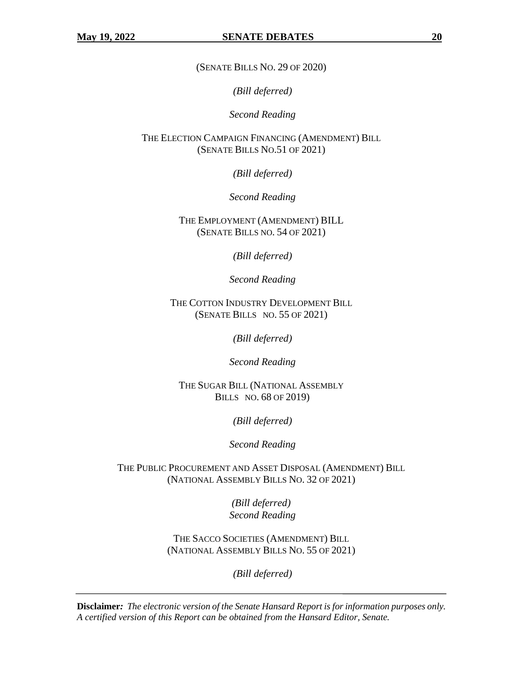(SENATE BILLS NO. 29 OF 2020)

*(Bill deferred)*

*Second Reading*

THE ELECTION CAMPAIGN FINANCING (AMENDMENT) BILL (SENATE BILLS NO.51 OF 2021)

*(Bill deferred)*

*Second Reading*

THE EMPLOYMENT (AMENDMENT) BILL (SENATE BILLS NO. 54 OF 2021)

*(Bill deferred)*

*Second Reading*

THE COTTON INDUSTRY DEVELOPMENT BILL (SENATE BILLS NO. 55 OF 2021)

*(Bill deferred)*

*Second Reading*

THE SUGAR BILL (NATIONAL ASSEMBLY BILLS NO. 68 OF 2019)

*(Bill deferred)*

*Second Reading*

THE PUBLIC PROCUREMENT AND ASSET DISPOSAL (AMENDMENT) BILL (NATIONAL ASSEMBLY BILLS NO. 32 OF 2021)

> *(Bill deferred) Second Reading*

THE SACCO SOCIETIES (AMENDMENT) BILL (NATIONAL ASSEMBLY BILLS NO. 55 OF 2021)

*(Bill deferred)*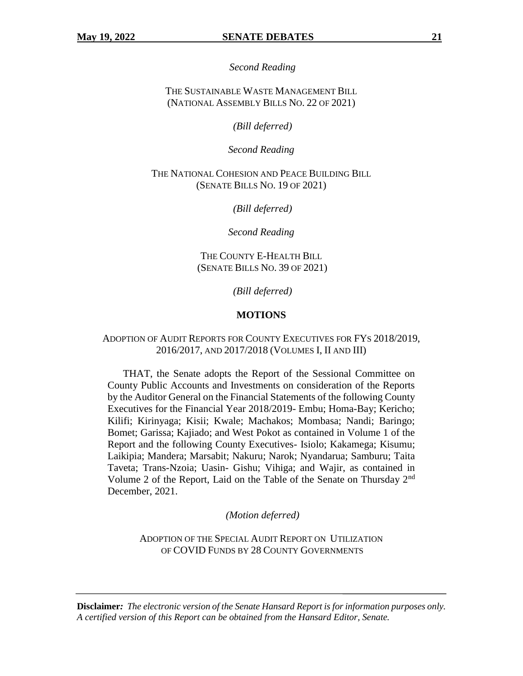*Second Reading*

THE SUSTAINABLE WASTE MANAGEMENT BILL (NATIONAL ASSEMBLY BILLS NO. 22 OF 2021)

*(Bill deferred)*

*Second Reading*

THE NATIONAL COHESION AND PEACE BUILDING BILL (SENATE BILLS NO. 19 OF 2021)

*(Bill deferred)*

*Second Reading*

THE COUNTY E-HEALTH BILL (SENATE BILLS NO. 39 OF 2021)

*(Bill deferred)*

#### **MOTIONS**

#### ADOPTION OF AUDIT REPORTS FOR COUNTY EXECUTIVES FOR FYS 2018/2019, 2016/2017, AND 2017/2018 (VOLUMES I, II AND III)

THAT, the Senate adopts the Report of the Sessional Committee on County Public Accounts and Investments on consideration of the Reports by the Auditor General on the Financial Statements of the following County Executives for the Financial Year 2018/2019- Embu; Homa-Bay; Kericho; Kilifi; Kirinyaga; Kisii; Kwale; Machakos; Mombasa; Nandi; Baringo; Bomet; Garissa; Kajiado; and West Pokot as contained in Volume 1 of the Report and the following County Executives- Isiolo; Kakamega; Kisumu; Laikipia; Mandera; Marsabit; Nakuru; Narok; Nyandarua; Samburu; Taita Taveta; Trans-Nzoia; Uasin- Gishu; Vihiga; and Wajir, as contained in Volume 2 of the Report, Laid on the Table of the Senate on Thursday 2nd December, 2021.

*(Motion deferred)*

ADOPTION OF THE SPECIAL AUDIT REPORT ON UTILIZATION OF COVID FUNDS BY 28 COUNTY GOVERNMENTS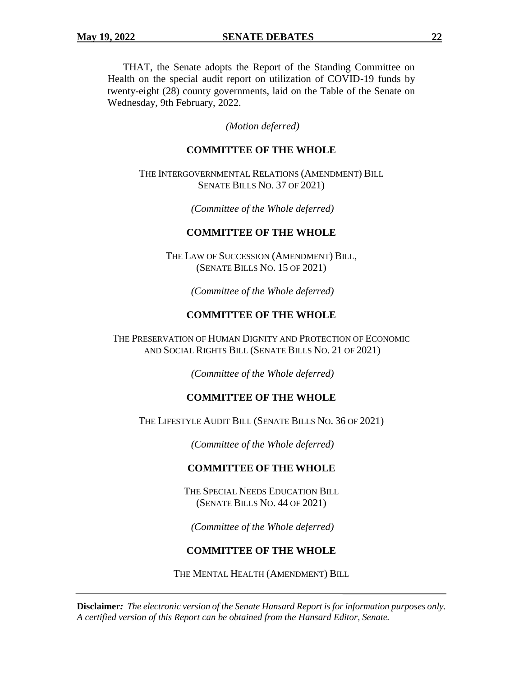THAT, the Senate adopts the Report of the Standing Committee on Health on the special audit report on utilization of COVID-19 funds by twenty-eight (28) county governments, laid on the Table of the Senate on Wednesday, 9th February, 2022.

#### *(Motion deferred)*

## **COMMITTEE OF THE WHOLE**

THE INTERGOVERNMENTAL RELATIONS (AMENDMENT) BILL SENATE BILLS NO. 37 OF 2021)

*(Committee of the Whole deferred)*

#### **COMMITTEE OF THE WHOLE**

THE LAW OF SUCCESSION (AMENDMENT) BILL, (SENATE BILLS NO. 15 OF 2021)

*(Committee of the Whole deferred)*

## **COMMITTEE OF THE WHOLE**

THE PRESERVATION OF HUMAN DIGNITY AND PROTECTION OF ECONOMIC AND SOCIAL RIGHTS BILL (SENATE BILLS NO. 21 OF 2021)

*(Committee of the Whole deferred)*

#### **COMMITTEE OF THE WHOLE**

THE LIFESTYLE AUDIT BILL (SENATE BILLS NO. 36 OF 2021)

*(Committee of the Whole deferred)*

#### **COMMITTEE OF THE WHOLE**

THE SPECIAL NEEDS EDUCATION BILL (SENATE BILLS NO. 44 OF 2021)

*(Committee of the Whole deferred)*

## **COMMITTEE OF THE WHOLE**

THE MENTAL HEALTH (AMENDMENT) BILL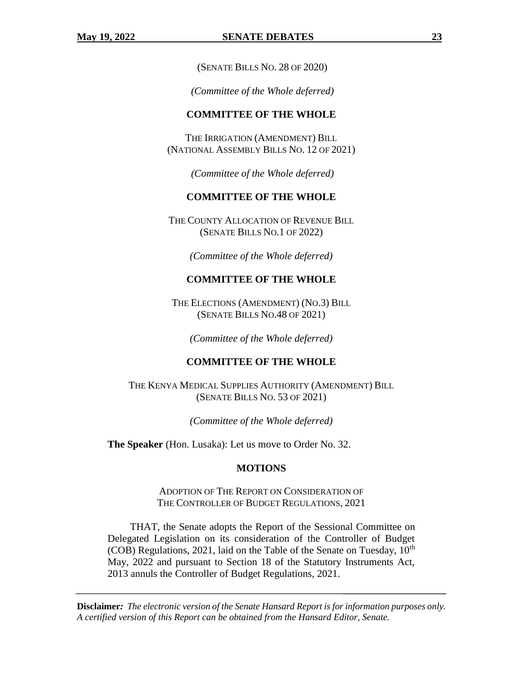(SENATE BILLS NO. 28 OF 2020)

*(Committee of the Whole deferred)*

#### **COMMITTEE OF THE WHOLE**

THE IRRIGATION (AMENDMENT) BILL (NATIONAL ASSEMBLY BILLS NO. 12 OF 2021)

*(Committee of the Whole deferred)*

## **COMMITTEE OF THE WHOLE**

THE COUNTY ALLOCATION OF REVENUE BILL (SENATE BILLS NO.1 OF 2022)

*(Committee of the Whole deferred)*

#### **COMMITTEE OF THE WHOLE**

THE ELECTIONS (AMENDMENT) (NO.3) BILL (SENATE BILLS NO.48 OF 2021)

*(Committee of the Whole deferred)*

# **COMMITTEE OF THE WHOLE**

THE KENYA MEDICAL SUPPLIES AUTHORITY (AMENDMENT) BILL (SENATE BILLS NO. 53 OF 2021)

*(Committee of the Whole deferred)*

**The Speaker** (Hon. Lusaka): Let us move to Order No. 32.

#### **MOTIONS**

ADOPTION OF THE REPORT ON CONSIDERATION OF THE CONTROLLER OF BUDGET REGULATIONS, 2021

THAT, the Senate adopts the Report of the Sessional Committee on Delegated Legislation on its consideration of the Controller of Budget (COB) Regulations, 2021, laid on the Table of the Senate on Tuesday,  $10^{th}$ May, 2022 and pursuant to Section 18 of the Statutory Instruments Act, 2013 annuls the Controller of Budget Regulations, 2021.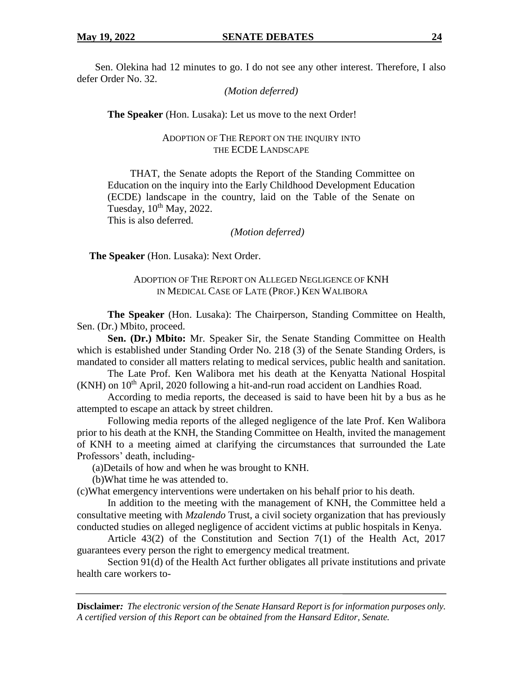Sen. Olekina had 12 minutes to go. I do not see any other interest. Therefore, I also defer Order No. 32.

*(Motion deferred)*

**The Speaker** (Hon. Lusaka): Let us move to the next Order!

## ADOPTION OF THE REPORT ON THE INQUIRY INTO THE ECDE LANDSCAPE

THAT, the Senate adopts the Report of the Standing Committee on Education on the inquiry into the Early Childhood Development Education (ECDE) landscape in the country, laid on the Table of the Senate on Tuesday,  $10^{th}$  May,  $2022$ .

This is also deferred.

*(Motion deferred)*

**The Speaker** (Hon. Lusaka): Next Order.

ADOPTION OF THE REPORT ON ALLEGED NEGLIGENCE OF KNH IN MEDICAL CASE OF LATE (PROF.) KEN WALIBORA

**The Speaker** (Hon. Lusaka): The Chairperson, Standing Committee on Health, Sen. (Dr.) Mbito, proceed.

**Sen. (Dr.) Mbito:** Mr. Speaker Sir, the Senate Standing Committee on Health which is established under Standing Order No. 218 (3) of the Senate Standing Orders, is mandated to consider all matters relating to medical services, public health and sanitation.

The Late Prof. Ken Walibora met his death at the Kenyatta National Hospital  $(KNH)$  on  $10<sup>th</sup>$  April, 2020 following a hit-and-run road accident on Landhies Road.

According to media reports, the deceased is said to have been hit by a bus as he attempted to escape an attack by street children.

Following media reports of the alleged negligence of the late Prof. Ken Walibora prior to his death at the KNH, the Standing Committee on Health, invited the management of KNH to a meeting aimed at clarifying the circumstances that surrounded the Late Professors' death, including-

(a)Details of how and when he was brought to KNH.

(b)What time he was attended to.

(c)What emergency interventions were undertaken on his behalf prior to his death.

In addition to the meeting with the management of KNH, the Committee held a consultative meeting with *Mzalendo* Trust, a civil society organization that has previously conducted studies on alleged negligence of accident victims at public hospitals in Kenya.

Article 43(2) of the Constitution and Section 7(1) of the Health Act, 2017 guarantees every person the right to emergency medical treatment.

Section 91(d) of the Health Act further obligates all private institutions and private health care workers to-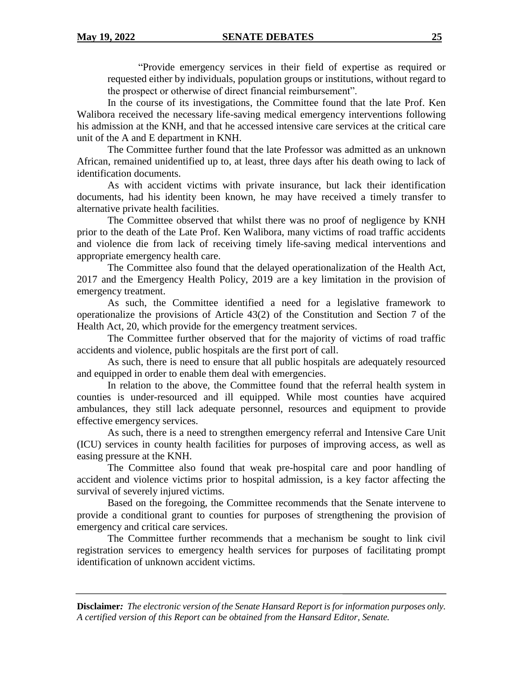"Provide emergency services in their field of expertise as required or requested either by individuals, population groups or institutions, without regard to the prospect or otherwise of direct financial reimbursement".

In the course of its investigations, the Committee found that the late Prof. Ken Walibora received the necessary life-saving medical emergency interventions following his admission at the KNH, and that he accessed intensive care services at the critical care unit of the A and E department in KNH.

The Committee further found that the late Professor was admitted as an unknown African, remained unidentified up to, at least, three days after his death owing to lack of identification documents.

As with accident victims with private insurance, but lack their identification documents, had his identity been known, he may have received a timely transfer to alternative private health facilities.

The Committee observed that whilst there was no proof of negligence by KNH prior to the death of the Late Prof. Ken Walibora, many victims of road traffic accidents and violence die from lack of receiving timely life-saving medical interventions and appropriate emergency health care.

The Committee also found that the delayed operationalization of the Health Act, 2017 and the Emergency Health Policy, 2019 are a key limitation in the provision of emergency treatment.

As such, the Committee identified a need for a legislative framework to operationalize the provisions of Article 43(2) of the Constitution and Section 7 of the Health Act, 20, which provide for the emergency treatment services.

The Committee further observed that for the majority of victims of road traffic accidents and violence, public hospitals are the first port of call.

As such, there is need to ensure that all public hospitals are adequately resourced and equipped in order to enable them deal with emergencies.

In relation to the above, the Committee found that the referral health system in counties is under-resourced and ill equipped. While most counties have acquired ambulances, they still lack adequate personnel, resources and equipment to provide effective emergency services.

As such, there is a need to strengthen emergency referral and Intensive Care Unit (ICU) services in county health facilities for purposes of improving access, as well as easing pressure at the KNH.

The Committee also found that weak pre-hospital care and poor handling of accident and violence victims prior to hospital admission, is a key factor affecting the survival of severely injured victims.

Based on the foregoing, the Committee recommends that the Senate intervene to provide a conditional grant to counties for purposes of strengthening the provision of emergency and critical care services.

The Committee further recommends that a mechanism be sought to link civil registration services to emergency health services for purposes of facilitating prompt identification of unknown accident victims.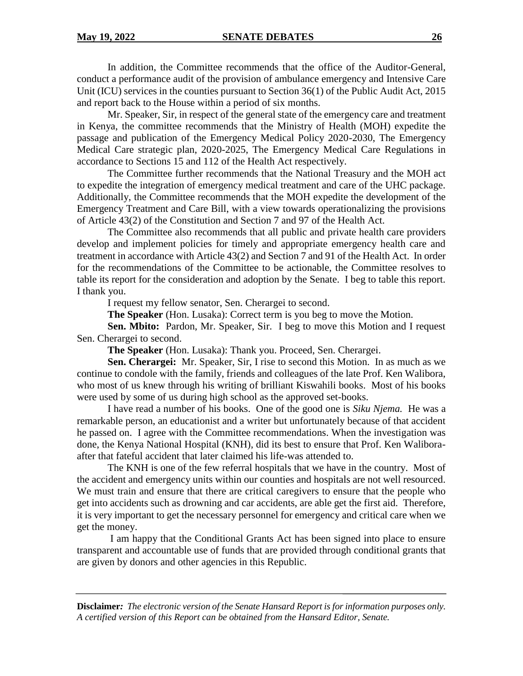In addition, the Committee recommends that the office of the Auditor-General, conduct a performance audit of the provision of ambulance emergency and Intensive Care Unit (ICU) services in the counties pursuant to Section 36(1) of the Public Audit Act, 2015 and report back to the House within a period of six months.

Mr. Speaker, Sir, in respect of the general state of the emergency care and treatment in Kenya, the committee recommends that the Ministry of Health (MOH) expedite the passage and publication of the Emergency Medical Policy 2020-2030, The Emergency Medical Care strategic plan, 2020-2025, The Emergency Medical Care Regulations in accordance to Sections 15 and 112 of the Health Act respectively.

The Committee further recommends that the National Treasury and the MOH act to expedite the integration of emergency medical treatment and care of the UHC package. Additionally, the Committee recommends that the MOH expedite the development of the Emergency Treatment and Care Bill, with a view towards operationalizing the provisions of Article 43(2) of the Constitution and Section 7 and 97 of the Health Act.

The Committee also recommends that all public and private health care providers develop and implement policies for timely and appropriate emergency health care and treatment in accordance with Article 43(2) and Section 7 and 91 of the Health Act. In order for the recommendations of the Committee to be actionable, the Committee resolves to table its report for the consideration and adoption by the Senate. I beg to table this report. I thank you.

I request my fellow senator, Sen. Cherargei to second.

**The Speaker** (Hon. Lusaka): Correct term is you beg to move the Motion.

**Sen. Mbito:** Pardon, Mr. Speaker, Sir. I beg to move this Motion and I request Sen. Cherargei to second.

**The Speaker** (Hon. Lusaka): Thank you. Proceed, Sen. Cherargei.

**Sen. Cherargei:** Mr. Speaker, Sir, I rise to second this Motion. In as much as we continue to condole with the family, friends and colleagues of the late Prof. Ken Walibora, who most of us knew through his writing of brilliant Kiswahili books. Most of his books were used by some of us during high school as the approved set-books.

I have read a number of his books. One of the good one is *Siku Njema.* He was a remarkable person, an educationist and a writer but unfortunately because of that accident he passed on. I agree with the Committee recommendations. When the investigation was done, the Kenya National Hospital (KNH), did its best to ensure that Prof. Ken Waliboraafter that fateful accident that later claimed his life-was attended to.

The KNH is one of the few referral hospitals that we have in the country. Most of the accident and emergency units within our counties and hospitals are not well resourced. We must train and ensure that there are critical caregivers to ensure that the people who get into accidents such as drowning and car accidents, are able get the first aid. Therefore, it is very important to get the necessary personnel for emergency and critical care when we get the money.

I am happy that the Conditional Grants Act has been signed into place to ensure transparent and accountable use of funds that are provided through conditional grants that are given by donors and other agencies in this Republic.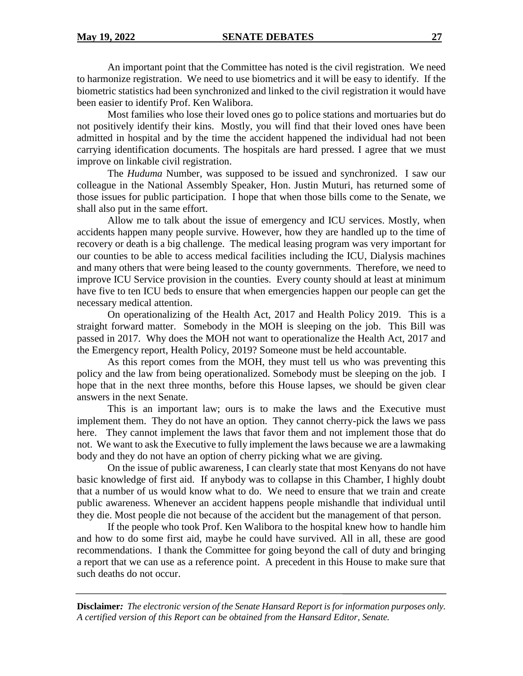An important point that the Committee has noted is the civil registration. We need to harmonize registration. We need to use biometrics and it will be easy to identify. If the biometric statistics had been synchronized and linked to the civil registration it would have been easier to identify Prof. Ken Walibora.

Most families who lose their loved ones go to police stations and mortuaries but do not positively identify their kins. Mostly, you will find that their loved ones have been admitted in hospital and by the time the accident happened the individual had not been carrying identification documents. The hospitals are hard pressed. I agree that we must improve on linkable civil registration.

The *Huduma* Number, was supposed to be issued and synchronized. I saw our colleague in the National Assembly Speaker, Hon. Justin Muturi, has returned some of those issues for public participation. I hope that when those bills come to the Senate, we shall also put in the same effort.

Allow me to talk about the issue of emergency and ICU services. Mostly, when accidents happen many people survive. However, how they are handled up to the time of recovery or death is a big challenge. The medical leasing program was very important for our counties to be able to access medical facilities including the ICU, Dialysis machines and many others that were being leased to the county governments. Therefore, we need to improve ICU Service provision in the counties. Every county should at least at minimum have five to ten ICU beds to ensure that when emergencies happen our people can get the necessary medical attention.

On operationalizing of the Health Act, 2017 and Health Policy 2019. This is a straight forward matter. Somebody in the MOH is sleeping on the job. This Bill was passed in 2017. Why does the MOH not want to operationalize the Health Act, 2017 and the Emergency report, Health Policy, 2019? Someone must be held accountable.

As this report comes from the MOH, they must tell us who was preventing this policy and the law from being operationalized. Somebody must be sleeping on the job. I hope that in the next three months, before this House lapses, we should be given clear answers in the next Senate.

This is an important law; ours is to make the laws and the Executive must implement them. They do not have an option. They cannot cherry-pick the laws we pass here. They cannot implement the laws that favor them and not implement those that do not. We want to ask the Executive to fully implement the laws because we are a lawmaking body and they do not have an option of cherry picking what we are giving.

On the issue of public awareness, I can clearly state that most Kenyans do not have basic knowledge of first aid. If anybody was to collapse in this Chamber, I highly doubt that a number of us would know what to do. We need to ensure that we train and create public awareness. Whenever an accident happens people mishandle that individual until they die. Most people die not because of the accident but the management of that person.

If the people who took Prof. Ken Walibora to the hospital knew how to handle him and how to do some first aid, maybe he could have survived. All in all, these are good recommendations. I thank the Committee for going beyond the call of duty and bringing a report that we can use as a reference point. A precedent in this House to make sure that such deaths do not occur.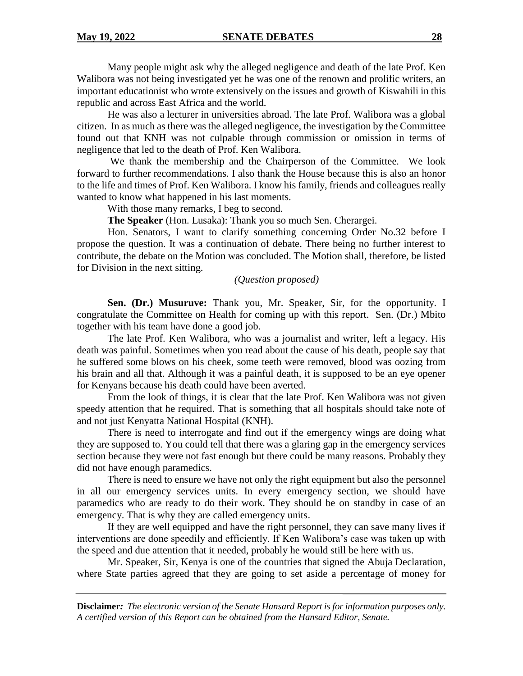Many people might ask why the alleged negligence and death of the late Prof. Ken Walibora was not being investigated yet he was one of the renown and prolific writers, an important educationist who wrote extensively on the issues and growth of Kiswahili in this republic and across East Africa and the world.

He was also a lecturer in universities abroad. The late Prof. Walibora was a global citizen. In as much as there was the alleged negligence, the investigation by the Committee found out that KNH was not culpable through commission or omission in terms of negligence that led to the death of Prof. Ken Walibora.

We thank the membership and the Chairperson of the Committee. We look forward to further recommendations. I also thank the House because this is also an honor to the life and times of Prof. Ken Walibora. I know his family, friends and colleagues really wanted to know what happened in his last moments.

With those many remarks, I beg to second.

**The Speaker** (Hon. Lusaka): Thank you so much Sen. Cherargei.

Hon. Senators, I want to clarify something concerning Order No.32 before I propose the question. It was a continuation of debate. There being no further interest to contribute, the debate on the Motion was concluded. The Motion shall, therefore, be listed for Division in the next sitting.

## *(Question proposed)*

**Sen. (Dr.) Musuruve:** Thank you, Mr. Speaker, Sir, for the opportunity. I congratulate the Committee on Health for coming up with this report. Sen. (Dr.) Mbito together with his team have done a good job.

The late Prof. Ken Walibora, who was a journalist and writer, left a legacy. His death was painful. Sometimes when you read about the cause of his death, people say that he suffered some blows on his cheek, some teeth were removed, blood was oozing from his brain and all that. Although it was a painful death, it is supposed to be an eye opener for Kenyans because his death could have been averted.

From the look of things, it is clear that the late Prof. Ken Walibora was not given speedy attention that he required. That is something that all hospitals should take note of and not just Kenyatta National Hospital (KNH).

There is need to interrogate and find out if the emergency wings are doing what they are supposed to. You could tell that there was a glaring gap in the emergency services section because they were not fast enough but there could be many reasons. Probably they did not have enough paramedics.

There is need to ensure we have not only the right equipment but also the personnel in all our emergency services units. In every emergency section, we should have paramedics who are ready to do their work. They should be on standby in case of an emergency. That is why they are called emergency units.

If they are well equipped and have the right personnel, they can save many lives if interventions are done speedily and efficiently. If Ken Walibora's case was taken up with the speed and due attention that it needed, probably he would still be here with us.

Mr. Speaker, Sir, Kenya is one of the countries that signed the Abuja Declaration, where State parties agreed that they are going to set aside a percentage of money for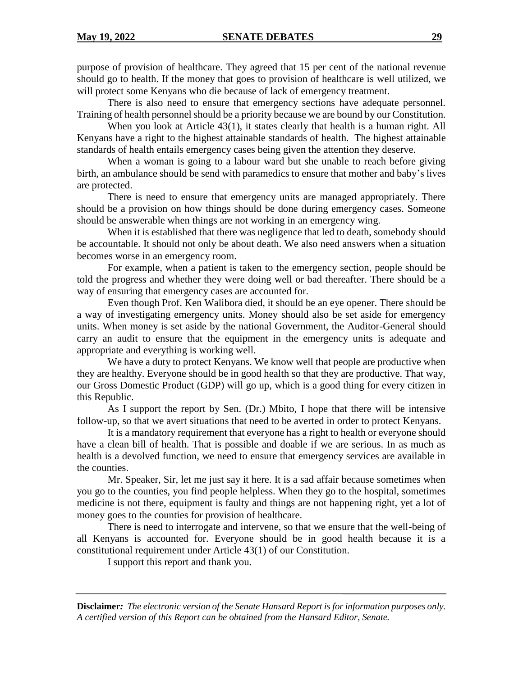purpose of provision of healthcare. They agreed that 15 per cent of the national revenue should go to health. If the money that goes to provision of healthcare is well utilized, we will protect some Kenyans who die because of lack of emergency treatment.

There is also need to ensure that emergency sections have adequate personnel. Training of health personnel should be a priority because we are bound by our Constitution.

When you look at Article 43(1), it states clearly that health is a human right. All Kenyans have a right to the highest attainable standards of health. The highest attainable standards of health entails emergency cases being given the attention they deserve.

When a woman is going to a labour ward but she unable to reach before giving birth, an ambulance should be send with paramedics to ensure that mother and baby's lives are protected.

There is need to ensure that emergency units are managed appropriately. There should be a provision on how things should be done during emergency cases. Someone should be answerable when things are not working in an emergency wing.

When it is established that there was negligence that led to death, somebody should be accountable. It should not only be about death. We also need answers when a situation becomes worse in an emergency room.

For example, when a patient is taken to the emergency section, people should be told the progress and whether they were doing well or bad thereafter. There should be a way of ensuring that emergency cases are accounted for.

Even though Prof. Ken Walibora died, it should be an eye opener. There should be a way of investigating emergency units. Money should also be set aside for emergency units. When money is set aside by the national Government, the Auditor-General should carry an audit to ensure that the equipment in the emergency units is adequate and appropriate and everything is working well.

We have a duty to protect Kenyans. We know well that people are productive when they are healthy. Everyone should be in good health so that they are productive. That way, our Gross Domestic Product (GDP) will go up, which is a good thing for every citizen in this Republic.

As I support the report by Sen. (Dr.) Mbito, I hope that there will be intensive follow-up, so that we avert situations that need to be averted in order to protect Kenyans.

It is a mandatory requirement that everyone has a right to health or everyone should have a clean bill of health. That is possible and doable if we are serious. In as much as health is a devolved function, we need to ensure that emergency services are available in the counties.

Mr. Speaker, Sir, let me just say it here. It is a sad affair because sometimes when you go to the counties, you find people helpless. When they go to the hospital, sometimes medicine is not there, equipment is faulty and things are not happening right, yet a lot of money goes to the counties for provision of healthcare.

There is need to interrogate and intervene, so that we ensure that the well-being of all Kenyans is accounted for. Everyone should be in good health because it is a constitutional requirement under Article 43(1) of our Constitution.

I support this report and thank you.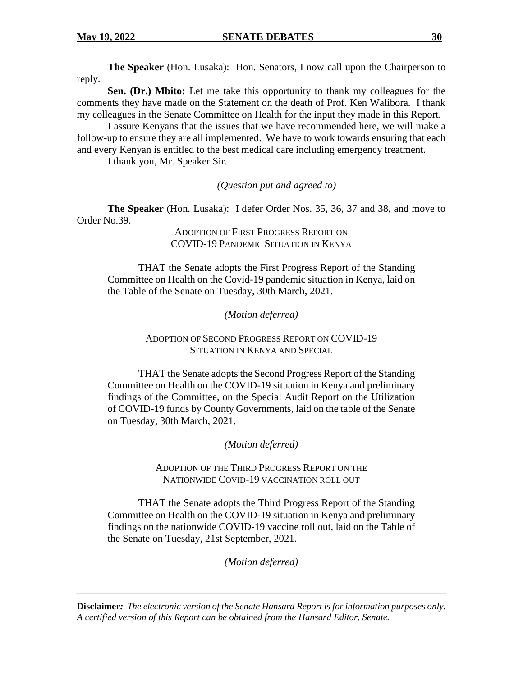**The Speaker** (Hon. Lusaka):Hon. Senators, I now call upon the Chairperson to reply.

**Sen. (Dr.) Mbito:** Let me take this opportunity to thank my colleagues for the comments they have made on the Statement on the death of Prof. Ken Walibora. I thank my colleagues in the Senate Committee on Health for the input they made in this Report.

I assure Kenyans that the issues that we have recommended here, we will make a follow-up to ensure they are all implemented. We have to work towards ensuring that each and every Kenyan is entitled to the best medical care including emergency treatment.

I thank you, Mr. Speaker Sir.

*(Question put and agreed to)*

**The Speaker** (Hon. Lusaka): I defer Order Nos. 35, 36, 37 and 38, and move to Order No.39.

> ADOPTION OF FIRST PROGRESS REPORT ON COVID-19 PANDEMIC SITUATION IN KENYA

THAT the Senate adopts the First Progress Report of the Standing Committee on Health on the Covid-19 pandemic situation in Kenya, laid on the Table of the Senate on Tuesday, 30th March, 2021.

*(Motion deferred)*

ADOPTION OF SECOND PROGRESS REPORT ON COVID-19 SITUATION IN KENYA AND SPECIAL

THAT the Senate adopts the Second Progress Report of the Standing Committee on Health on the COVID-19 situation in Kenya and preliminary findings of the Committee, on the Special Audit Report on the Utilization of COVID-19 funds by County Governments, laid on the table of the Senate on Tuesday, 30th March, 2021.

*(Motion deferred)*

ADOPTION OF THE THIRD PROGRESS REPORT ON THE NATIONWIDE COVID-19 VACCINATION ROLL OUT

THAT the Senate adopts the Third Progress Report of the Standing Committee on Health on the COVID-19 situation in Kenya and preliminary findings on the nationwide COVID-19 vaccine roll out, laid on the Table of the Senate on Tuesday, 21st September, 2021.

*(Motion deferred)*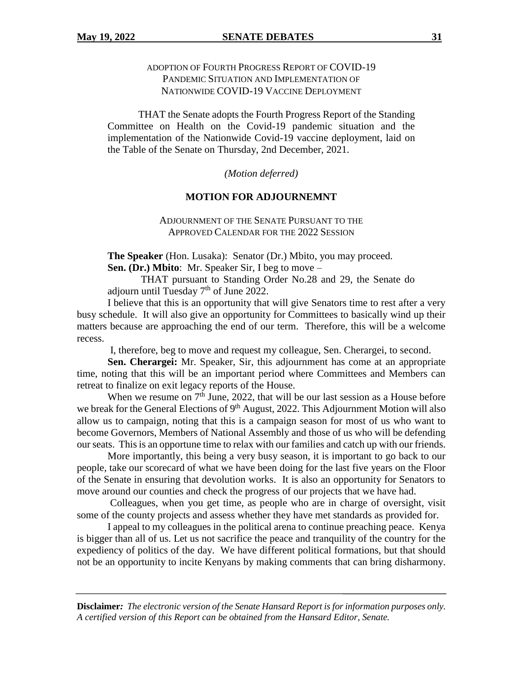# ADOPTION OF FOURTH PROGRESS REPORT OF COVID-19 PANDEMIC SITUATION AND IMPLEMENTATION OF NATIONWIDE COVID-19 VACCINE DEPLOYMENT

THAT the Senate adopts the Fourth Progress Report of the Standing Committee on Health on the Covid-19 pandemic situation and the implementation of the Nationwide Covid-19 vaccine deployment, laid on the Table of the Senate on Thursday, 2nd December, 2021.

*(Motion deferred)*

## **MOTION FOR ADJOURNEMNT**

ADJOURNMENT OF THE SENATE PURSUANT TO THE APPROVED CALENDAR FOR THE 2022 SESSION

**The Speaker** (Hon. Lusaka):Senator (Dr.) Mbito, you may proceed. **Sen. (Dr.) Mbito**: Mr. Speaker Sir, I beg to move –

THAT pursuant to Standing Order No.28 and 29, the Senate do adjourn until Tuesday  $7<sup>th</sup>$  of June 2022.

I believe that this is an opportunity that will give Senators time to rest after a very busy schedule. It will also give an opportunity for Committees to basically wind up their matters because are approaching the end of our term. Therefore, this will be a welcome recess.

I, therefore, beg to move and request my colleague, Sen. Cherargei, to second.

**Sen. Cherargei:** Mr. Speaker, Sir, this adjournment has come at an appropriate time, noting that this will be an important period where Committees and Members can retreat to finalize on exit legacy reports of the House.

When we resume on  $7<sup>th</sup>$  June, 2022, that will be our last session as a House before we break for the General Elections of 9<sup>th</sup> August, 2022. This Adjournment Motion will also allow us to campaign, noting that this is a campaign season for most of us who want to become Governors, Members of National Assembly and those of us who will be defending our seats. This is an opportune time to relax with our families and catch up with our friends.

More importantly, this being a very busy season, it is important to go back to our people, take our scorecard of what we have been doing for the last five years on the Floor of the Senate in ensuring that devolution works. It is also an opportunity for Senators to move around our counties and check the progress of our projects that we have had.

Colleagues, when you get time, as people who are in charge of oversight, visit some of the county projects and assess whether they have met standards as provided for.

I appeal to my colleagues in the political arena to continue preaching peace. Kenya is bigger than all of us. Let us not sacrifice the peace and tranquility of the country for the expediency of politics of the day. We have different political formations, but that should not be an opportunity to incite Kenyans by making comments that can bring disharmony.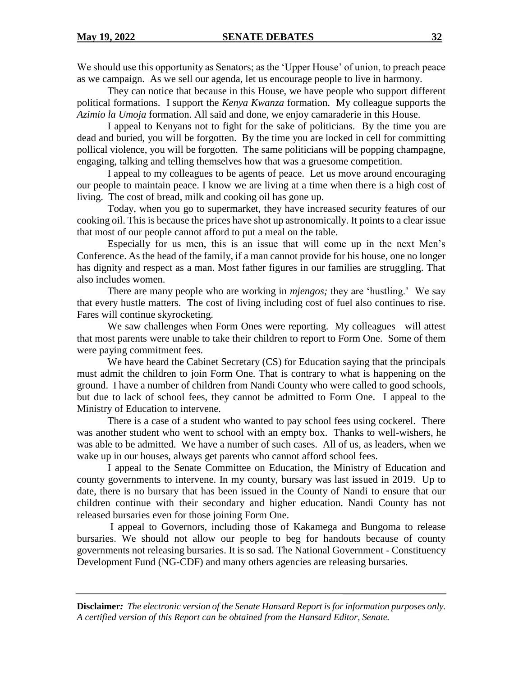We should use this opportunity as Senators; as the 'Upper House' of union, to preach peace as we campaign. As we sell our agenda, let us encourage people to live in harmony.

They can notice that because in this House, we have people who support different political formations. I support the *Kenya Kwanza* formation. My colleague supports the *Azimio la Umoja* formation. All said and done, we enjoy camaraderie in this House.

I appeal to Kenyans not to fight for the sake of politicians. By the time you are dead and buried, you will be forgotten. By the time you are locked in cell for committing pollical violence, you will be forgotten. The same politicians will be popping champagne, engaging, talking and telling themselves how that was a gruesome competition.

I appeal to my colleagues to be agents of peace. Let us move around encouraging our people to maintain peace. I know we are living at a time when there is a high cost of living. The cost of bread, milk and cooking oil has gone up.

Today, when you go to supermarket, they have increased security features of our cooking oil. This is because the prices have shot up astronomically. It points to a clear issue that most of our people cannot afford to put a meal on the table.

Especially for us men, this is an issue that will come up in the next Men's Conference. As the head of the family, if a man cannot provide for his house, one no longer has dignity and respect as a man. Most father figures in our families are struggling. That also includes women.

There are many people who are working in *mjengos;* they are 'hustling.' We say that every hustle matters. The cost of living including cost of fuel also continues to rise. Fares will continue skyrocketing.

We saw challenges when Form Ones were reporting. My colleagues will attest that most parents were unable to take their children to report to Form One. Some of them were paying commitment fees.

We have heard the Cabinet Secretary (CS) for Education saying that the principals must admit the children to join Form One. That is contrary to what is happening on the ground. I have a number of children from Nandi County who were called to good schools, but due to lack of school fees, they cannot be admitted to Form One. I appeal to the Ministry of Education to intervene.

There is a case of a student who wanted to pay school fees using cockerel. There was another student who went to school with an empty box. Thanks to well-wishers, he was able to be admitted. We have a number of such cases. All of us, as leaders, when we wake up in our houses, always get parents who cannot afford school fees.

I appeal to the Senate Committee on Education, the Ministry of Education and county governments to intervene. In my county, bursary was last issued in 2019. Up to date, there is no bursary that has been issued in the County of Nandi to ensure that our children continue with their secondary and higher education. Nandi County has not released bursaries even for those joining Form One.

I appeal to Governors, including those of Kakamega and Bungoma to release bursaries. We should not allow our people to beg for handouts because of county governments not releasing bursaries. It is so sad. The National Government - Constituency Development Fund (NG-CDF) and many others agencies are releasing bursaries.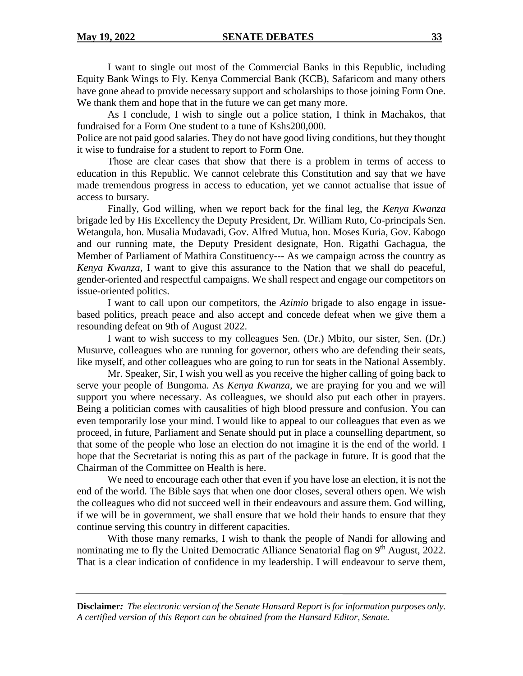I want to single out most of the Commercial Banks in this Republic, including Equity Bank Wings to Fly. Kenya Commercial Bank (KCB), Safaricom and many others have gone ahead to provide necessary support and scholarships to those joining Form One. We thank them and hope that in the future we can get many more.

As I conclude, I wish to single out a police station, I think in Machakos, that fundraised for a Form One student to a tune of Kshs200,000.

Police are not paid good salaries. They do not have good living conditions, but they thought it wise to fundraise for a student to report to Form One.

Those are clear cases that show that there is a problem in terms of access to education in this Republic. We cannot celebrate this Constitution and say that we have made tremendous progress in access to education, yet we cannot actualise that issue of access to bursary.

Finally, God willing, when we report back for the final leg, the *Kenya Kwanza* brigade led by His Excellency the Deputy President, Dr. William Ruto, Co-principals Sen. Wetangula, hon. Musalia Mudavadi, Gov. Alfred Mutua, hon. Moses Kuria, Gov. Kabogo and our running mate, the Deputy President designate, Hon. Rigathi Gachagua, the Member of Parliament of Mathira Constituency--- As we campaign across the country as *Kenya Kwanza,* I want to give this assurance to the Nation that we shall do peaceful, gender-oriented and respectful campaigns. We shall respect and engage our competitors on issue-oriented politics.

I want to call upon our competitors, the *Azimio* brigade to also engage in issuebased politics, preach peace and also accept and concede defeat when we give them a resounding defeat on 9th of August 2022.

I want to wish success to my colleagues Sen. (Dr.) Mbito, our sister, Sen. (Dr.) Musurve, colleagues who are running for governor, others who are defending their seats, like myself, and other colleagues who are going to run for seats in the National Assembly.

Mr. Speaker, Sir, I wish you well as you receive the higher calling of going back to serve your people of Bungoma. As *Kenya Kwanza,* we are praying for you and we will support you where necessary. As colleagues, we should also put each other in prayers. Being a politician comes with causalities of high blood pressure and confusion. You can even temporarily lose your mind. I would like to appeal to our colleagues that even as we proceed, in future, Parliament and Senate should put in place a counselling department, so that some of the people who lose an election do not imagine it is the end of the world. I hope that the Secretariat is noting this as part of the package in future. It is good that the Chairman of the Committee on Health is here.

We need to encourage each other that even if you have lose an election, it is not the end of the world. The Bible says that when one door closes, several others open. We wish the colleagues who did not succeed well in their endeavours and assure them. God willing, if we will be in government, we shall ensure that we hold their hands to ensure that they continue serving this country in different capacities.

With those many remarks, I wish to thank the people of Nandi for allowing and nominating me to fly the United Democratic Alliance Senatorial flag on 9<sup>th</sup> August, 2022. That is a clear indication of confidence in my leadership. I will endeavour to serve them,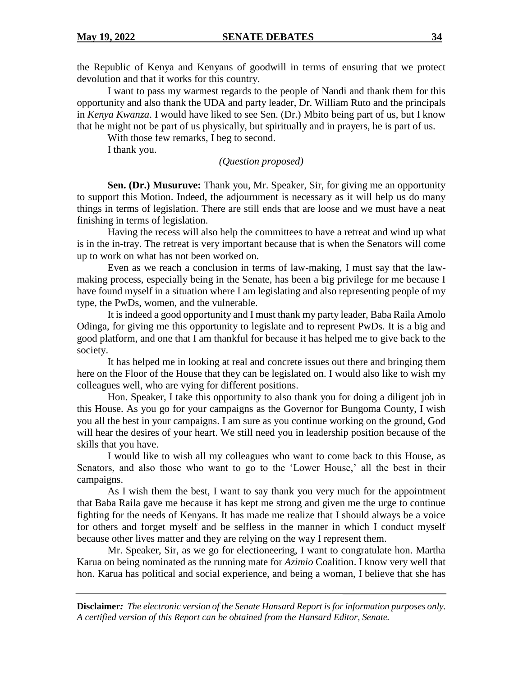the Republic of Kenya and Kenyans of goodwill in terms of ensuring that we protect devolution and that it works for this country.

I want to pass my warmest regards to the people of Nandi and thank them for this opportunity and also thank the UDA and party leader, Dr. William Ruto and the principals in *Kenya Kwanza*. I would have liked to see Sen. (Dr.) Mbito being part of us, but I know that he might not be part of us physically, but spiritually and in prayers, he is part of us.

With those few remarks, I beg to second.

I thank you.

#### *(Question proposed)*

**Sen. (Dr.) Musuruve:** Thank you, Mr. Speaker, Sir, for giving me an opportunity to support this Motion. Indeed, the adjournment is necessary as it will help us do many things in terms of legislation. There are still ends that are loose and we must have a neat finishing in terms of legislation.

Having the recess will also help the committees to have a retreat and wind up what is in the in-tray. The retreat is very important because that is when the Senators will come up to work on what has not been worked on.

Even as we reach a conclusion in terms of law-making, I must say that the lawmaking process, especially being in the Senate, has been a big privilege for me because I have found myself in a situation where I am legislating and also representing people of my type, the PwDs, women, and the vulnerable.

It is indeed a good opportunity and I must thank my party leader, Baba Raila Amolo Odinga, for giving me this opportunity to legislate and to represent PwDs. It is a big and good platform, and one that I am thankful for because it has helped me to give back to the society.

It has helped me in looking at real and concrete issues out there and bringing them here on the Floor of the House that they can be legislated on. I would also like to wish my colleagues well, who are vying for different positions.

Hon. Speaker, I take this opportunity to also thank you for doing a diligent job in this House. As you go for your campaigns as the Governor for Bungoma County, I wish you all the best in your campaigns. I am sure as you continue working on the ground, God will hear the desires of your heart. We still need you in leadership position because of the skills that you have.

I would like to wish all my colleagues who want to come back to this House, as Senators, and also those who want to go to the 'Lower House,' all the best in their campaigns.

As I wish them the best, I want to say thank you very much for the appointment that Baba Raila gave me because it has kept me strong and given me the urge to continue fighting for the needs of Kenyans. It has made me realize that I should always be a voice for others and forget myself and be selfless in the manner in which I conduct myself because other lives matter and they are relying on the way I represent them.

Mr. Speaker, Sir, as we go for electioneering, I want to congratulate hon. Martha Karua on being nominated as the running mate for *Azimio* Coalition. I know very well that hon. Karua has political and social experience, and being a woman, I believe that she has